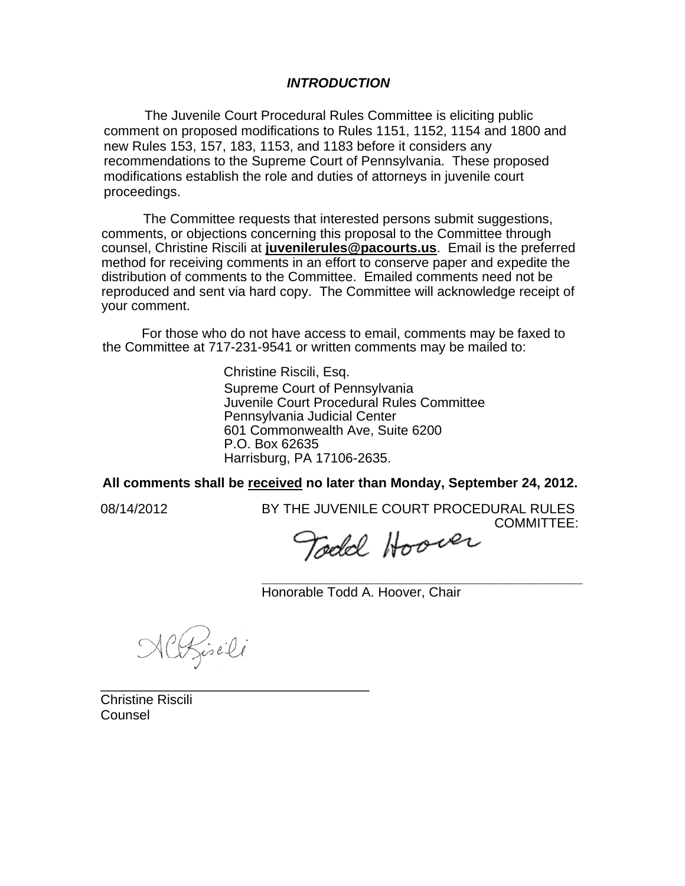### *INTRODUCTION*

The Juvenile Court Procedural Rules Committee is eliciting public comment on proposed modifications to Rules 1151, 1152, 1154 and 1800 and new Rules 153, 157, 183, 1153, and 1183 before it considers any recommendations to the Supreme Court of Pennsylvania. These proposed modifications establish the role and duties of attorneys in juvenile court proceedings.

The Committee requests that interested persons submit suggestions, comments, or objections concerning this proposal to the Committee through counsel, Christine Riscili at **juvenilerules@pacourts.us**. Email is the preferred method for receiving comments in an effort to conserve paper and expedite the distribution of comments to the Committee. Emailed comments need not be reproduced and sent via hard copy. The Committee will acknowledge receipt of your comment.

 For those who do not have access to email, comments may be faxed to the Committee at 717-231-9541 or written comments may be mailed to:

> Christine Riscili, Esq. Supreme Court of Pennsylvania Juvenile Court Procedural Rules Committee Pennsylvania Judicial Center 601 Commonwealth Ave, Suite 6200 P.O. Box 62635 Harrisburg, PA 17106-2635.

### **All comments shall be received no later than Monday, September 24, 2012.**

08/14/2012 BY THE JUVENILE COURT PROCEDURAL RULES COMMITTEE:

Todd Hoover

**\_\_\_\_\_\_\_\_\_\_\_\_\_\_\_\_\_\_\_\_\_\_\_\_\_\_\_\_\_\_\_\_\_\_\_\_\_\_\_\_\_\_\_**  Honorable Todd A. Hoover, Chair

NCRisili

\_\_\_\_\_\_\_\_\_\_\_\_\_\_\_\_\_\_\_\_\_\_\_\_\_\_\_\_\_\_\_\_\_\_\_\_

Christine Riscili Counsel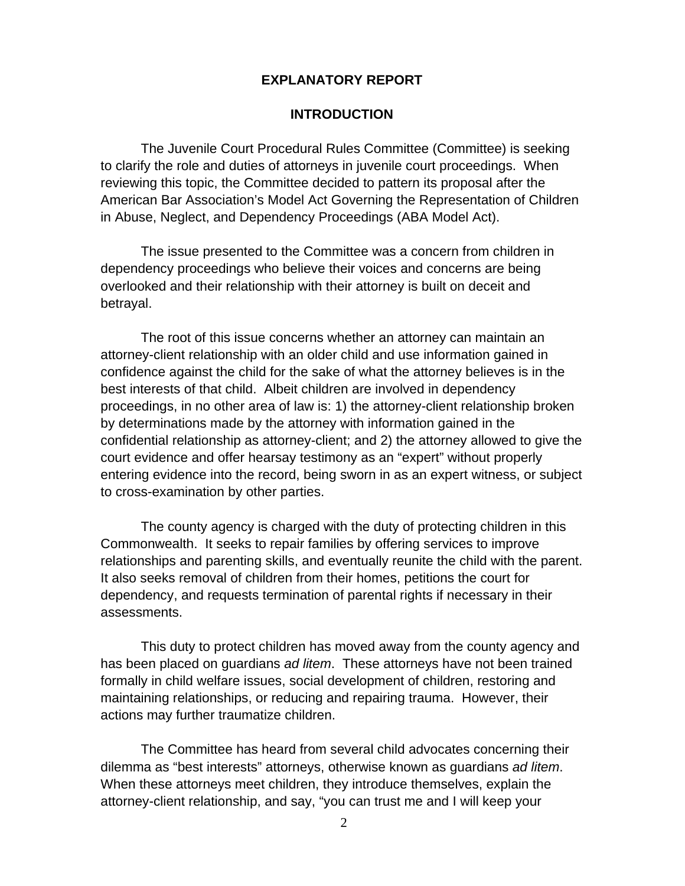### **EXPLANATORY REPORT**

### **INTRODUCTION**

The Juvenile Court Procedural Rules Committee (Committee) is seeking to clarify the role and duties of attorneys in juvenile court proceedings. When reviewing this topic, the Committee decided to pattern its proposal after the American Bar Association's Model Act Governing the Representation of Children in Abuse, Neglect, and Dependency Proceedings (ABA Model Act).

The issue presented to the Committee was a concern from children in dependency proceedings who believe their voices and concerns are being overlooked and their relationship with their attorney is built on deceit and betrayal.

The root of this issue concerns whether an attorney can maintain an attorney-client relationship with an older child and use information gained in confidence against the child for the sake of what the attorney believes is in the best interests of that child. Albeit children are involved in dependency proceedings, in no other area of law is: 1) the attorney-client relationship broken by determinations made by the attorney with information gained in the confidential relationship as attorney-client; and 2) the attorney allowed to give the court evidence and offer hearsay testimony as an "expert" without properly entering evidence into the record, being sworn in as an expert witness, or subject to cross-examination by other parties.

The county agency is charged with the duty of protecting children in this Commonwealth. It seeks to repair families by offering services to improve relationships and parenting skills, and eventually reunite the child with the parent. It also seeks removal of children from their homes, petitions the court for dependency, and requests termination of parental rights if necessary in their assessments.

This duty to protect children has moved away from the county agency and has been placed on guardians *ad litem*. These attorneys have not been trained formally in child welfare issues, social development of children, restoring and maintaining relationships, or reducing and repairing trauma. However, their actions may further traumatize children.

The Committee has heard from several child advocates concerning their dilemma as "best interests" attorneys, otherwise known as guardians *ad litem*. When these attorneys meet children, they introduce themselves, explain the attorney-client relationship, and say, "you can trust me and I will keep your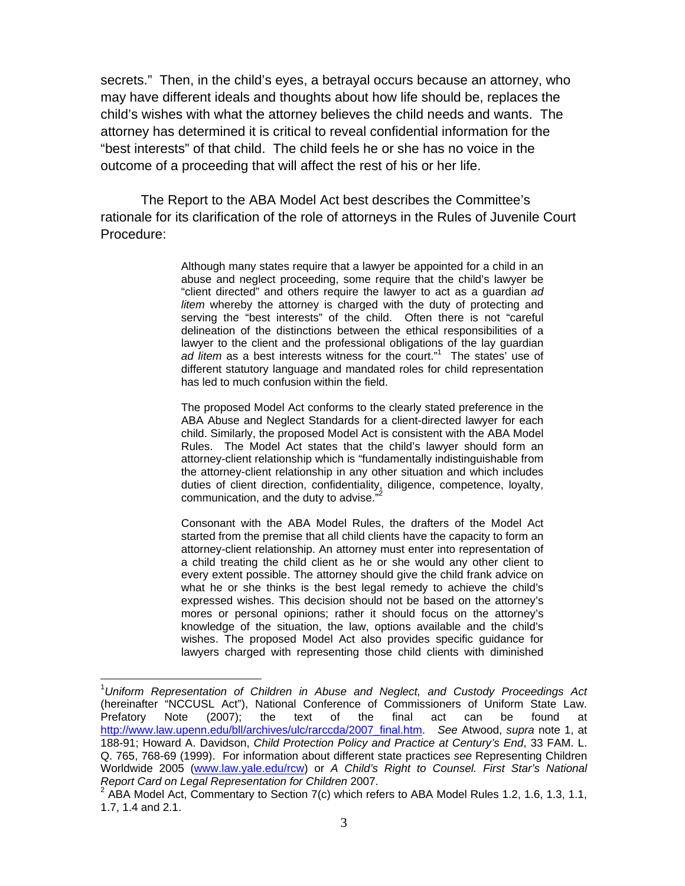secrets." Then, in the child's eyes, a betrayal occurs because an attorney, who may have different ideals and thoughts about how life should be, replaces the child's wishes with what the attorney believes the child needs and wants. The attorney has determined it is critical to reveal confidential information for the "best interests" of that child. The child feels he or she has no voice in the outcome of a proceeding that will affect the rest of his or her life.

The Report to the ABA Model Act best describes the Committee's rationale for its clarification of the role of attorneys in the Rules of Juvenile Court Procedure:

> Although many states require that a lawyer be appointed for a child in an abuse and neglect proceeding, some require that the child's lawyer be "client directed" and others require the lawyer to act as a guardian *ad litem* whereby the attorney is charged with the duty of protecting and serving the "best interests" of the child. Often there is not "careful delineation of the distinctions between the ethical responsibilities of a lawyer to the client and the professional obligations of the lay guardian ad litem as a best interests witness for the court."<sup>1</sup> The states' use of different statutory language and mandated roles for child representation has led to much confusion within the field.

> The proposed Model Act conforms to the clearly stated preference in the ABA Abuse and Neglect Standards for a client-directed lawyer for each child. Similarly, the proposed Model Act is consistent with the ABA Model Rules. The Model Act states that the child's lawyer should form an attorney-client relationship which is "fundamentally indistinguishable from the attorney-client relationship in any other situation and which includes duties of client direction, confidentiality, diligence, competence, loyalty, communication, and the duty to advise."

> Consonant with the ABA Model Rules, the drafters of the Model Act started from the premise that all child clients have the capacity to form an attorney-client relationship. An attorney must enter into representation of a child treating the child client as he or she would any other client to every extent possible. The attorney should give the child frank advice on what he or she thinks is the best legal remedy to achieve the child's expressed wishes. This decision should not be based on the attorney's mores or personal opinions; rather it should focus on the attorney's knowledge of the situation, the law, options available and the child's wishes. The proposed Model Act also provides specific guidance for lawyers charged with representing those child clients with diminished

 $\overline{a}$ 

<sup>1</sup> *Uniform Representation of Children in Abuse and Neglect, and Custody Proceedings Act* (hereinafter "NCCUSL Act"), National Conference of Commissioners of Uniform State Law. Prefatory Note (2007); the text of the final act can be found at http://www.law.upenn.edu/bll/archives/ulc/rarccda/2007\_final.htm. *See* Atwood, *supra* note 1, at 188-91; Howard A. Davidson, *Child Protection Policy and Practice at Century's End*, 33 FAM. L. Q. 765, 768-69 (1999). For information about different state practices *see* Representing Children Worldwide 2005 (www.law.yale.edu/rcw) or *A Child's Right to Counsel. First Star's National Report Card on Legal Representation for Children* 2007.

 $2^{2}$  ABA Model Act, Commentary to Section 7(c) which refers to ABA Model Rules 1.2, 1.6, 1.3, 1.1, 1.7, 1.4 and 2.1.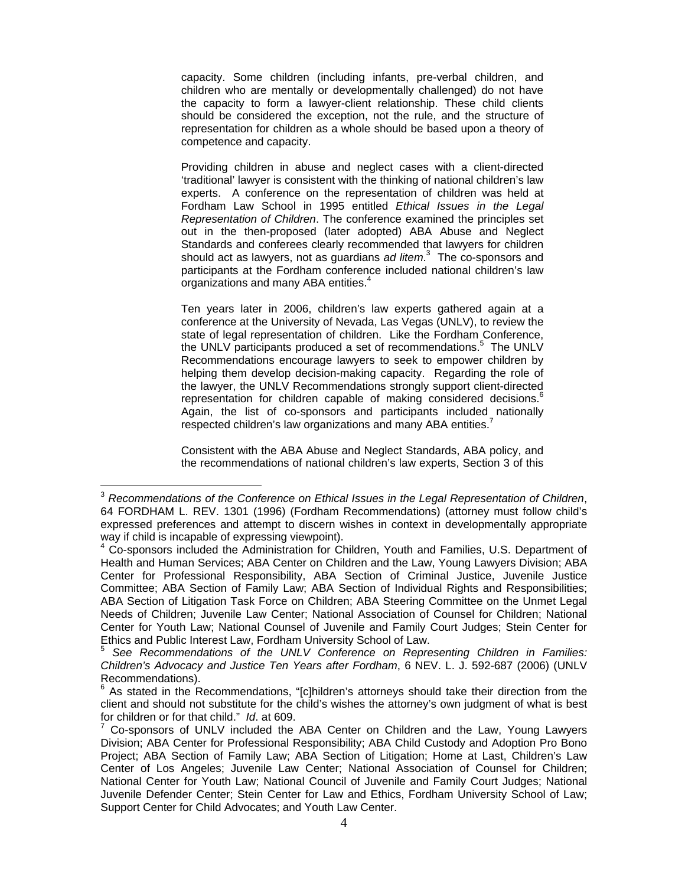capacity. Some children (including infants, pre-verbal children, and children who are mentally or developmentally challenged) do not have the capacity to form a lawyer-client relationship. These child clients should be considered the exception, not the rule, and the structure of representation for children as a whole should be based upon a theory of competence and capacity.

Providing children in abuse and neglect cases with a client-directed 'traditional' lawyer is consistent with the thinking of national children's law experts. A conference on the representation of children was held at Fordham Law School in 1995 entitled *Ethical Issues in the Legal Representation of Children*. The conference examined the principles set out in the then-proposed (later adopted) ABA Abuse and Neglect Standards and conferees clearly recommended that lawyers for children should act as lawyers, not as guardians *ad litem*. 3 The co-sponsors and participants at the Fordham conference included national children's law organizations and many ABA entities.<sup>4</sup>

Ten years later in 2006, children's law experts gathered again at a conference at the University of Nevada, Las Vegas (UNLV), to review the state of legal representation of children. Like the Fordham Conference, the UNLV participants produced a set of recommendations.<sup>5</sup> The UNLV Recommendations encourage lawyers to seek to empower children by helping them develop decision-making capacity. Regarding the role of the lawyer, the UNLV Recommendations strongly support client-directed representation for children capable of making considered decisions.<sup>6</sup> Again, the list of co-sponsors and participants included nationally respected children's law organizations and many ABA entities.<sup>7</sup>

Consistent with the ABA Abuse and Neglect Standards, ABA policy, and the recommendations of national children's law experts, Section 3 of this

 $\overline{a}$ 

<sup>3</sup> *Recommendations of the Conference on Ethical Issues in the Legal Representation of Children*, 64 FORDHAM L. REV. 1301 (1996) (Fordham Recommendations) (attorney must follow child's expressed preferences and attempt to discern wishes in context in developmentally appropriate way if child is incapable of expressing viewpoint).

<sup>&</sup>lt;sup>4</sup> Co-sponsors included the Administration for Children, Youth and Families, U.S. Department of Health and Human Services; ABA Center on Children and the Law, Young Lawyers Division; ABA Center for Professional Responsibility, ABA Section of Criminal Justice, Juvenile Justice Committee; ABA Section of Family Law; ABA Section of Individual Rights and Responsibilities; ABA Section of Litigation Task Force on Children; ABA Steering Committee on the Unmet Legal Needs of Children; Juvenile Law Center; National Association of Counsel for Children; National Center for Youth Law; National Counsel of Juvenile and Family Court Judges; Stein Center for Ethics and Public Interest Law, Fordham University School of Law.<br><sup>5</sup> See *Recommendations of the UNLV Conference on Representing Children in Families:* 

*Children's Advocacy and Justice Ten Years after Fordham*, 6 NEV. L. J. 592-687 (2006) (UNLV Recommendations).

 $6$  As stated in the Recommendations, "[c]hildren's attorneys should take their direction from the client and should not substitute for the child's wishes the attorney's own judgment of what is best for children or for that child." *Id*. at 609. 7

Co-sponsors of UNLV included the ABA Center on Children and the Law, Young Lawyers Division; ABA Center for Professional Responsibility; ABA Child Custody and Adoption Pro Bono Project; ABA Section of Family Law; ABA Section of Litigation; Home at Last, Children's Law Center of Los Angeles; Juvenile Law Center; National Association of Counsel for Children; National Center for Youth Law; National Council of Juvenile and Family Court Judges; National Juvenile Defender Center; Stein Center for Law and Ethics, Fordham University School of Law; Support Center for Child Advocates; and Youth Law Center.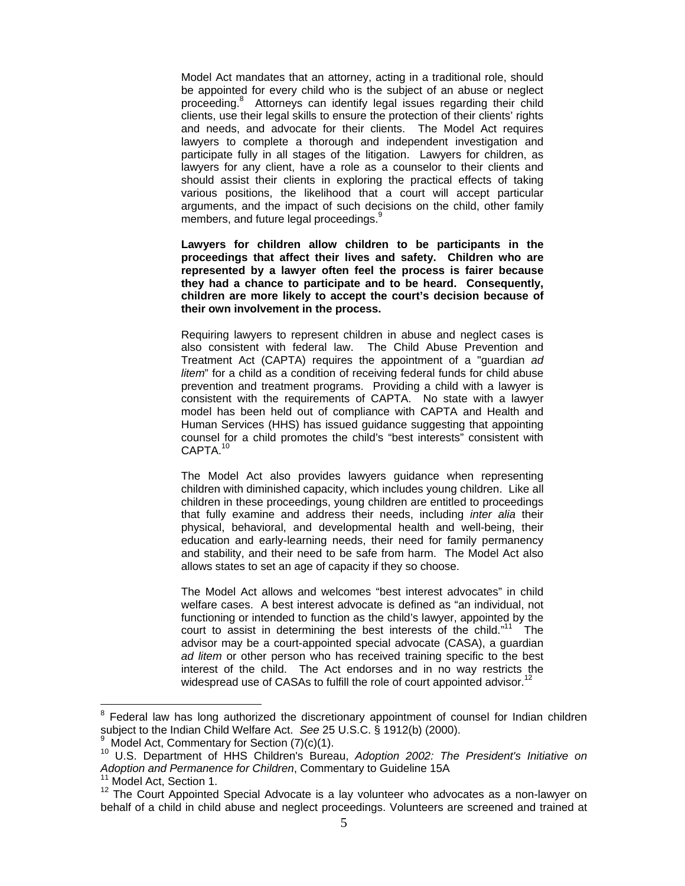Model Act mandates that an attorney, acting in a traditional role, should be appointed for every child who is the subject of an abuse or neglect proceeding.<sup>8</sup> Attorneys can identify legal issues regarding their child clients, use their legal skills to ensure the protection of their clients' rights and needs, and advocate for their clients. The Model Act requires lawyers to complete a thorough and independent investigation and participate fully in all stages of the litigation. Lawyers for children, as lawyers for any client, have a role as a counselor to their clients and should assist their clients in exploring the practical effects of taking various positions, the likelihood that a court will accept particular arguments, and the impact of such decisions on the child, other family members, and future legal proceedings.<sup>9</sup>

**Lawyers for children allow children to be participants in the proceedings that affect their lives and safety. Children who are represented by a lawyer often feel the process is fairer because they had a chance to participate and to be heard. Consequently, children are more likely to accept the court's decision because of their own involvement in the process.** 

Requiring lawyers to represent children in abuse and neglect cases is also consistent with federal law. The Child Abuse Prevention and Treatment Act (CAPTA) requires the appointment of a "guardian *ad litem*" for a child as a condition of receiving federal funds for child abuse prevention and treatment programs. Providing a child with a lawyer is consistent with the requirements of CAPTA. No state with a lawyer model has been held out of compliance with CAPTA and Health and Human Services (HHS) has issued guidance suggesting that appointing counsel for a child promotes the child's "best interests" consistent with CAPTA.10

The Model Act also provides lawyers guidance when representing children with diminished capacity, which includes young children. Like all children in these proceedings, young children are entitled to proceedings that fully examine and address their needs, including *inter alia* their physical, behavioral, and developmental health and well-being, their education and early-learning needs, their need for family permanency and stability, and their need to be safe from harm. The Model Act also allows states to set an age of capacity if they so choose.

The Model Act allows and welcomes "best interest advocates" in child welfare cases. A best interest advocate is defined as "an individual, not functioning or intended to function as the child's lawyer, appointed by the court to assist in determining the best interests of the child." $11$  The advisor may be a court-appointed special advocate (CASA), a guardian *ad litem* or other person who has received training specific to the best interest of the child. The Act endorses and in no way restricts the widespread use of CASAs to fulfill the role of court appointed advisor.<sup>12</sup>

 $\overline{a}$ 

<sup>&</sup>lt;sup>8</sup> Federal law has long authorized the discretionary appointment of counsel for Indian children subject to the Indian Child Welfare Act. *See* 25 U.S.C. § 1912(b) (2000). 9

Model Act, Commentary for Section (7)(c)(1).

<sup>10</sup> U.S. Department of HHS Children's Bureau, *Adoption 2002: The President's Initiative on*  Adoption and Permanence for Children, Commentary to Guideline 15A<br><sup>11</sup> Model Act, Section 1.

 $12$  The Court Appointed Special Advocate is a lay volunteer who advocates as a non-lawyer on behalf of a child in child abuse and neglect proceedings. Volunteers are screened and trained at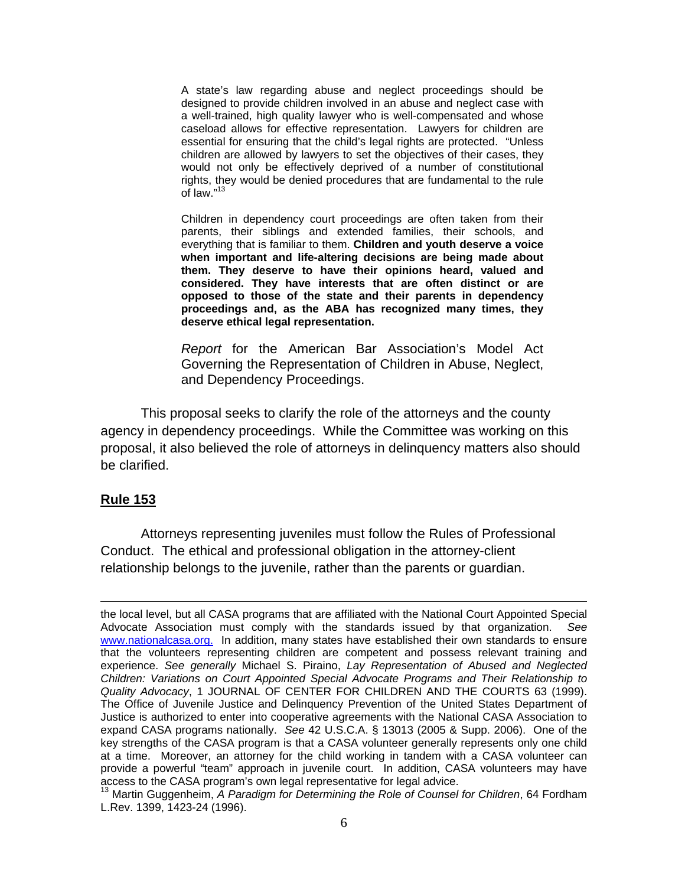A state's law regarding abuse and neglect proceedings should be designed to provide children involved in an abuse and neglect case with a well-trained, high quality lawyer who is well-compensated and whose caseload allows for effective representation. Lawyers for children are essential for ensuring that the child's legal rights are protected. "Unless children are allowed by lawyers to set the objectives of their cases, they would not only be effectively deprived of a number of constitutional rights, they would be denied procedures that are fundamental to the rule of law."<sup>13</sup>

Children in dependency court proceedings are often taken from their parents, their siblings and extended families, their schools, and everything that is familiar to them. **Children and youth deserve a voice when important and life-altering decisions are being made about them. They deserve to have their opinions heard, valued and considered. They have interests that are often distinct or are opposed to those of the state and their parents in dependency proceedings and, as the ABA has recognized many times, they deserve ethical legal representation.**

*Report* for the American Bar Association's Model Act Governing the Representation of Children in Abuse, Neglect, and Dependency Proceedings.

This proposal seeks to clarify the role of the attorneys and the county agency in dependency proceedings. While the Committee was working on this proposal, it also believed the role of attorneys in delinquency matters also should be clarified.

### **Rule 153**

 $\overline{a}$ 

Attorneys representing juveniles must follow the Rules of Professional Conduct. The ethical and professional obligation in the attorney-client relationship belongs to the juvenile, rather than the parents or guardian.

the local level, but all CASA programs that are affiliated with the National Court Appointed Special Advocate Association must comply with the standards issued by that organization. *See* www.nationalcasa.org. In addition, many states have established their own standards to ensure that the volunteers representing children are competent and possess relevant training and experience. *See generally* Michael S. Piraino, *Lay Representation of Abused and Neglected Children: Variations on Court Appointed Special Advocate Programs and Their Relationship to Quality Advocacy*, 1 JOURNAL OF CENTER FOR CHILDREN AND THE COURTS 63 (1999). The Office of Juvenile Justice and Delinquency Prevention of the United States Department of Justice is authorized to enter into cooperative agreements with the National CASA Association to expand CASA programs nationally. *See* 42 U.S.C.A. § 13013 (2005 & Supp. 2006). One of the key strengths of the CASA program is that a CASA volunteer generally represents only one child at a time. Moreover, an attorney for the child working in tandem with a CASA volunteer can provide a powerful "team" approach in juvenile court. In addition, CASA volunteers may have access to the CASA program's own legal representative for legal advice.

<sup>&</sup>lt;sup>13</sup> Martin Guggenheim, A Paradigm for Determining the Role of Counsel for Children, 64 Fordham L.Rev. 1399, 1423-24 (1996).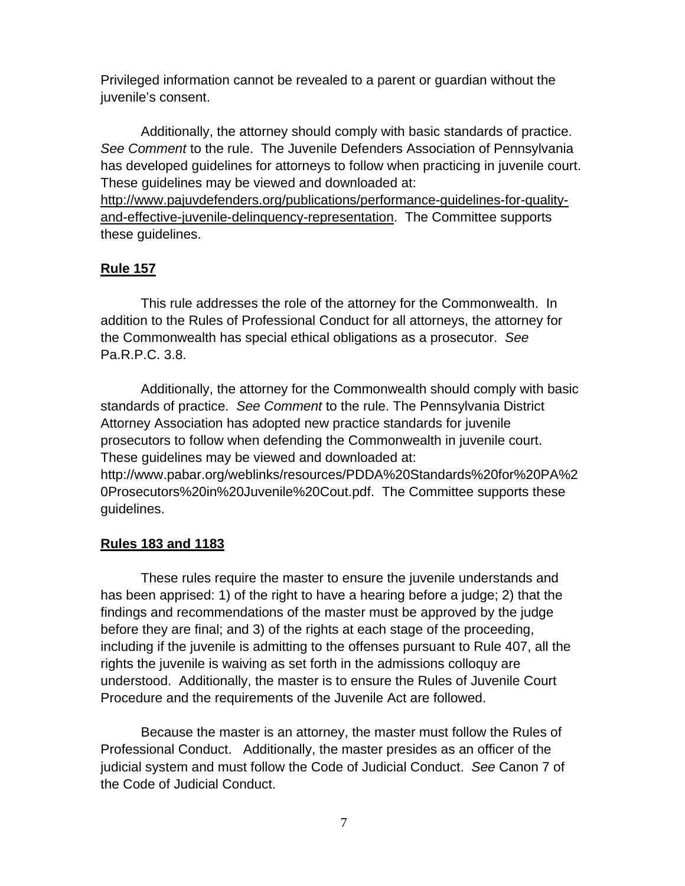Privileged information cannot be revealed to a parent or guardian without the juvenile's consent.

Additionally, the attorney should comply with basic standards of practice. *See Comment* to the rule. The Juvenile Defenders Association of Pennsylvania has developed guidelines for attorneys to follow when practicing in juvenile court. These guidelines may be viewed and downloaded at:

http://www.pajuvdefenders.org/publications/performance-guidelines-for-qualityand-effective-juvenile-delinquency-representation. The Committee supports these guidelines.

## **Rule 157**

This rule addresses the role of the attorney for the Commonwealth. In addition to the Rules of Professional Conduct for all attorneys, the attorney for the Commonwealth has special ethical obligations as a prosecutor. *See*  Pa.R.P.C. 3.8.

Additionally, the attorney for the Commonwealth should comply with basic standards of practice. *See Comment* to the rule. The Pennsylvania District Attorney Association has adopted new practice standards for juvenile prosecutors to follow when defending the Commonwealth in juvenile court. These guidelines may be viewed and downloaded at: http://www.pabar.org/weblinks/resources/PDDA%20Standards%20for%20PA%2 0Prosecutors%20in%20Juvenile%20Cout.pdf. The Committee supports these guidelines.

## **Rules 183 and 1183**

These rules require the master to ensure the juvenile understands and has been apprised: 1) of the right to have a hearing before a judge; 2) that the findings and recommendations of the master must be approved by the judge before they are final; and 3) of the rights at each stage of the proceeding, including if the juvenile is admitting to the offenses pursuant to Rule 407, all the rights the juvenile is waiving as set forth in the admissions colloquy are understood. Additionally, the master is to ensure the Rules of Juvenile Court Procedure and the requirements of the Juvenile Act are followed.

Because the master is an attorney, the master must follow the Rules of Professional Conduct. Additionally, the master presides as an officer of the judicial system and must follow the Code of Judicial Conduct. *See* Canon 7 of the Code of Judicial Conduct.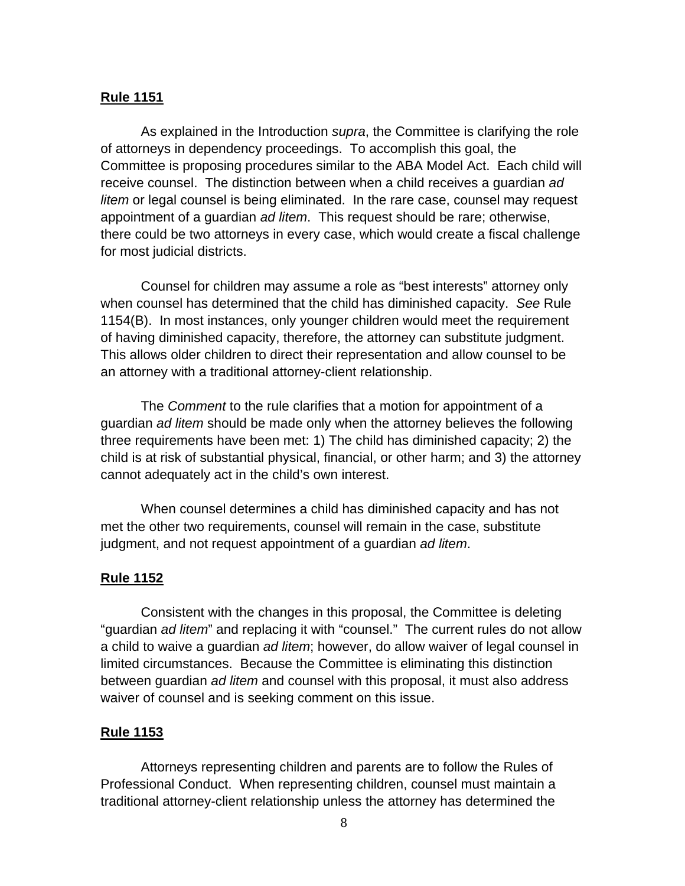### **Rule 1151**

As explained in the Introduction *supra*, the Committee is clarifying the role of attorneys in dependency proceedings. To accomplish this goal, the Committee is proposing procedures similar to the ABA Model Act. Each child will receive counsel. The distinction between when a child receives a guardian *ad litem* or legal counsel is being eliminated. In the rare case, counsel may request appointment of a guardian *ad litem*. This request should be rare; otherwise, there could be two attorneys in every case, which would create a fiscal challenge for most judicial districts.

Counsel for children may assume a role as "best interests" attorney only when counsel has determined that the child has diminished capacity. *See* Rule 1154(B). In most instances, only younger children would meet the requirement of having diminished capacity, therefore, the attorney can substitute judgment. This allows older children to direct their representation and allow counsel to be an attorney with a traditional attorney-client relationship.

The *Comment* to the rule clarifies that a motion for appointment of a guardian *ad litem* should be made only when the attorney believes the following three requirements have been met: 1) The child has diminished capacity; 2) the child is at risk of substantial physical, financial, or other harm; and 3) the attorney cannot adequately act in the child's own interest.

When counsel determines a child has diminished capacity and has not met the other two requirements, counsel will remain in the case, substitute judgment, and not request appointment of a guardian *ad litem*.

### **Rule 1152**

 Consistent with the changes in this proposal, the Committee is deleting "guardian *ad litem*" and replacing it with "counsel." The current rules do not allow a child to waive a guardian *ad litem*; however, do allow waiver of legal counsel in limited circumstances. Because the Committee is eliminating this distinction between guardian *ad litem* and counsel with this proposal, it must also address waiver of counsel and is seeking comment on this issue.

### **Rule 1153**

Attorneys representing children and parents are to follow the Rules of Professional Conduct. When representing children, counsel must maintain a traditional attorney-client relationship unless the attorney has determined the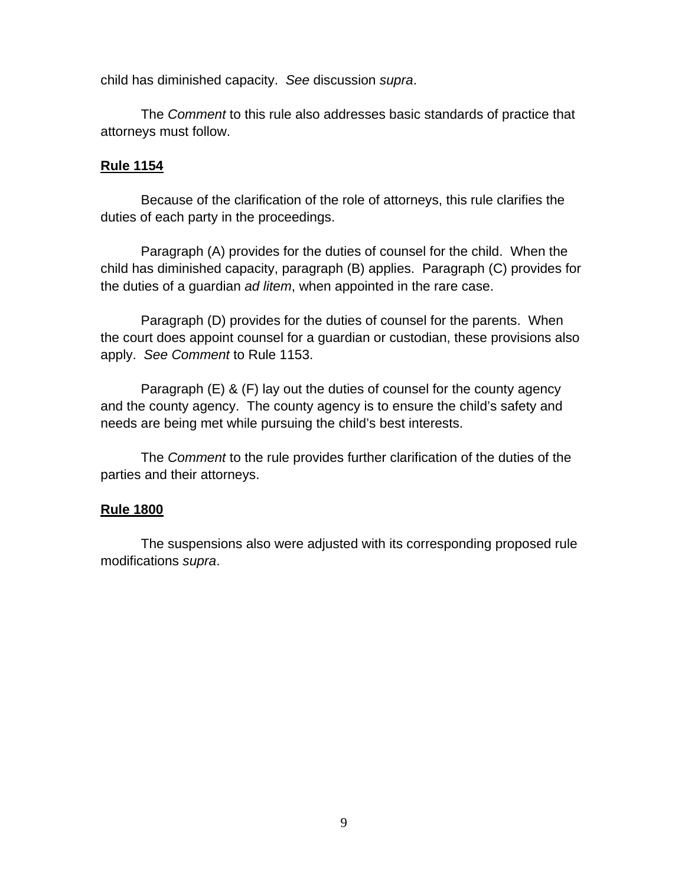child has diminished capacity. *See* discussion *supra*.

The *Comment* to this rule also addresses basic standards of practice that attorneys must follow.

## **Rule 1154**

Because of the clarification of the role of attorneys, this rule clarifies the duties of each party in the proceedings.

Paragraph (A) provides for the duties of counsel for the child. When the child has diminished capacity, paragraph (B) applies. Paragraph (C) provides for the duties of a guardian *ad litem*, when appointed in the rare case.

Paragraph (D) provides for the duties of counsel for the parents. When the court does appoint counsel for a guardian or custodian, these provisions also apply. *See Comment* to Rule 1153.

Paragraph (E) & (F) lay out the duties of counsel for the county agency and the county agency. The county agency is to ensure the child's safety and needs are being met while pursuing the child's best interests.

The *Comment* to the rule provides further clarification of the duties of the parties and their attorneys.

## **Rule 1800**

 The suspensions also were adjusted with its corresponding proposed rule modifications *supra*.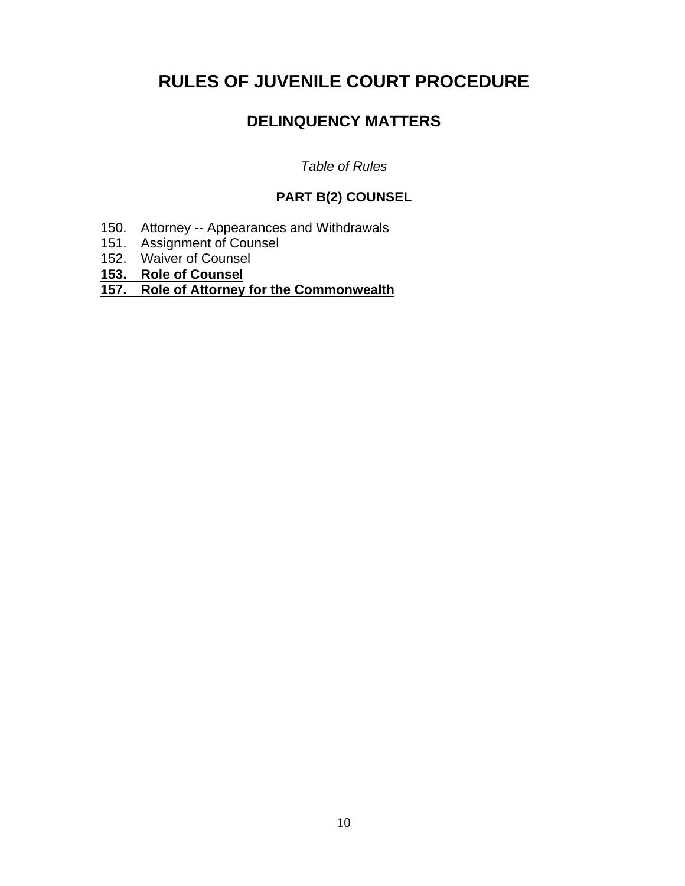# **RULES OF JUVENILE COURT PROCEDURE**

# **DELINQUENCY MATTERS**

*Table of Rules* 

# **PART B(2) COUNSEL**

- 150. Attorney -- Appearances and Withdrawals
- 151. Assignment of Counsel
- 152. Waiver of Counsel
- **153. Role of Counsel**

## **157. Role of Attorney for the Commonwealth**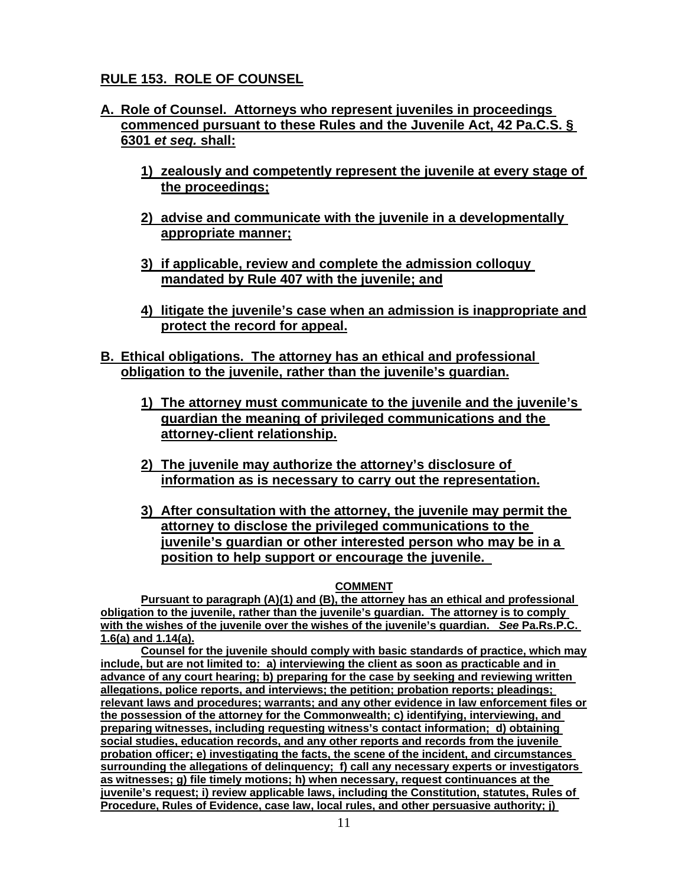# **RULE 153. ROLE OF COUNSEL**

- **A. Role of Counsel. Attorneys who represent juveniles in proceedings commenced pursuant to these Rules and the Juvenile Act, 42 Pa.C.S. § 6301** *et seq.* **shall:** 
	- **1) zealously and competently represent the juvenile at every stage of the proceedings;**
	- **2) advise and communicate with the juvenile in a developmentally appropriate manner;**
	- **3) if applicable, review and complete the admission colloquy mandated by Rule 407 with the juvenile; and**
	- **4) litigate the juvenile's case when an admission is inappropriate and protect the record for appeal.**
- **B. Ethical obligations. The attorney has an ethical and professional obligation to the juvenile, rather than the juvenile's guardian.** 
	- **1) The attorney must communicate to the juvenile and the juvenile's guardian the meaning of privileged communications and the attorney-client relationship.**
	- **2) The juvenile may authorize the attorney's disclosure of information as is necessary to carry out the representation.**
	- **3) After consultation with the attorney, the juvenile may permit the attorney to disclose the privileged communications to the juvenile's guardian or other interested person who may be in a position to help support or encourage the juvenile.**

#### **COMMENT**

**Pursuant to paragraph (A)(1) and (B), the attorney has an ethical and professional obligation to the juvenile, rather than the juvenile's guardian. The attorney is to comply with the wishes of the juvenile over the wishes of the juvenile's guardian.** *See* **Pa.Rs.P.C. 1.6(a) and 1.14(a).** 

**Counsel for the juvenile should comply with basic standards of practice, which may include, but are not limited to: a) interviewing the client as soon as practicable and in advance of any court hearing; b) preparing for the case by seeking and reviewing written allegations, police reports, and interviews; the petition; probation reports; pleadings; relevant laws and procedures; warrants; and any other evidence in law enforcement files or the possession of the attorney for the Commonwealth; c) identifying, interviewing, and preparing witnesses, including requesting witness's contact information; d) obtaining social studies, education records, and any other reports and records from the juvenile probation officer; e) investigating the facts, the scene of the incident, and circumstances surrounding the allegations of delinquency; f) call any necessary experts or investigators as witnesses; g) file timely motions; h) when necessary, request continuances at the juvenile's request; i) review applicable laws, including the Constitution, statutes, Rules of Procedure, Rules of Evidence, case law, local rules, and other persuasive authority; j)**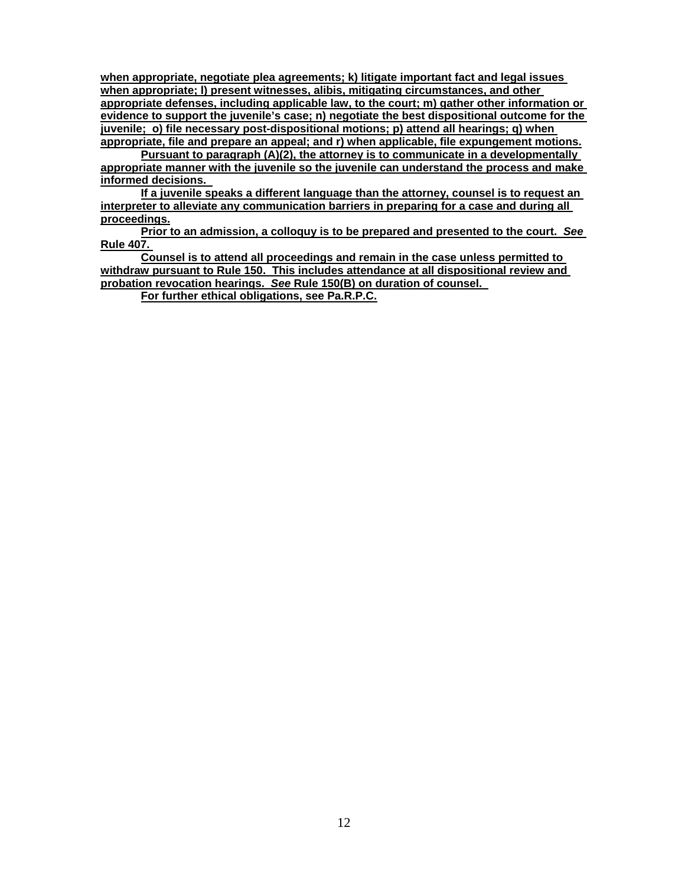**when appropriate, negotiate plea agreements; k) litigate important fact and legal issues when appropriate; l) present witnesses, alibis, mitigating circumstances, and other appropriate defenses, including applicable law, to the court; m) gather other information or evidence to support the juvenile's case; n) negotiate the best dispositional outcome for the juvenile; o) file necessary post-dispositional motions; p) attend all hearings; q) when appropriate, file and prepare an appeal; and r) when applicable, file expungement motions.** 

**Pursuant to paragraph (A)(2), the attorney is to communicate in a developmentally appropriate manner with the juvenile so the juvenile can understand the process and make informed decisions.** 

**If a juvenile speaks a different language than the attorney, counsel is to request an interpreter to alleviate any communication barriers in preparing for a case and during all proceedings.** 

**Prior to an admission, a colloquy is to be prepared and presented to the court.** *See*  **Rule 407.** 

**Counsel is to attend all proceedings and remain in the case unless permitted to withdraw pursuant to Rule 150. This includes attendance at all dispositional review and probation revocation hearings.** *See* **Rule 150(B) on duration of counsel.** 

**For further ethical obligations, see Pa.R.P.C.**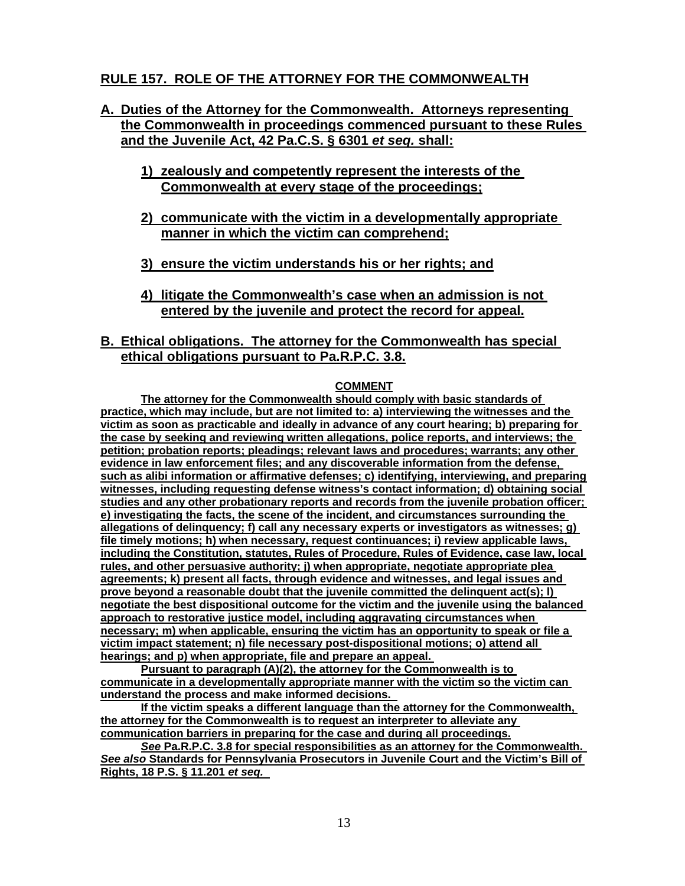# **RULE 157. ROLE OF THE ATTORNEY FOR THE COMMONWEALTH**

- **A. Duties of the Attorney for the Commonwealth. Attorneys representing the Commonwealth in proceedings commenced pursuant to these Rules and the Juvenile Act, 42 Pa.C.S. § 6301** *et seq.* **shall:** 
	- **1) zealously and competently represent the interests of the Commonwealth at every stage of the proceedings;**
	- **2) communicate with the victim in a developmentally appropriate manner in which the victim can comprehend;**
	- **3) ensure the victim understands his or her rights; and**
	- **4) litigate the Commonwealth's case when an admission is not entered by the juvenile and protect the record for appeal.**
- **B. Ethical obligations. The attorney for the Commonwealth has special ethical obligations pursuant to Pa.R.P.C. 3.8.**

### **COMMENT**

**The attorney for the Commonwealth should comply with basic standards of practice, which may include, but are not limited to: a) interviewing the witnesses and the victim as soon as practicable and ideally in advance of any court hearing; b) preparing for the case by seeking and reviewing written allegations, police reports, and interviews; the petition; probation reports; pleadings; relevant laws and procedures; warrants; any other evidence in law enforcement files; and any discoverable information from the defense, such as alibi information or affirmative defenses; c) identifying, interviewing, and preparing witnesses, including requesting defense witness's contact information; d) obtaining social studies and any other probationary reports and records from the juvenile probation officer; e) investigating the facts, the scene of the incident, and circumstances surrounding the allegations of delinquency; f) call any necessary experts or investigators as witnesses; g) file timely motions; h) when necessary, request continuances; i) review applicable laws, including the Constitution, statutes, Rules of Procedure, Rules of Evidence, case law, local rules, and other persuasive authority; j) when appropriate, negotiate appropriate plea agreements; k) present all facts, through evidence and witnesses, and legal issues and prove beyond a reasonable doubt that the juvenile committed the delinquent act(s); l) negotiate the best dispositional outcome for the victim and the juvenile using the balanced approach to restorative justice model, including aggravating circumstances when necessary; m) when applicable, ensuring the victim has an opportunity to speak or file a victim impact statement; n) file necessary post-dispositional motions; o) attend all hearings; and p) when appropriate, file and prepare an appeal.** 

**Pursuant to paragraph (A)(2), the attorney for the Commonwealth is to communicate in a developmentally appropriate manner with the victim so the victim can understand the process and make informed decisions.** 

**If the victim speaks a different language than the attorney for the Commonwealth, the attorney for the Commonwealth is to request an interpreter to alleviate any communication barriers in preparing for the case and during all proceedings.** 

*See* **Pa.R.P.C. 3.8 for special responsibilities as an attorney for the Commonwealth.**  *See also* **Standards for Pennsylvania Prosecutors in Juvenile Court and the Victim's Bill of Rights, 18 P.S. § 11.201** *et seq.*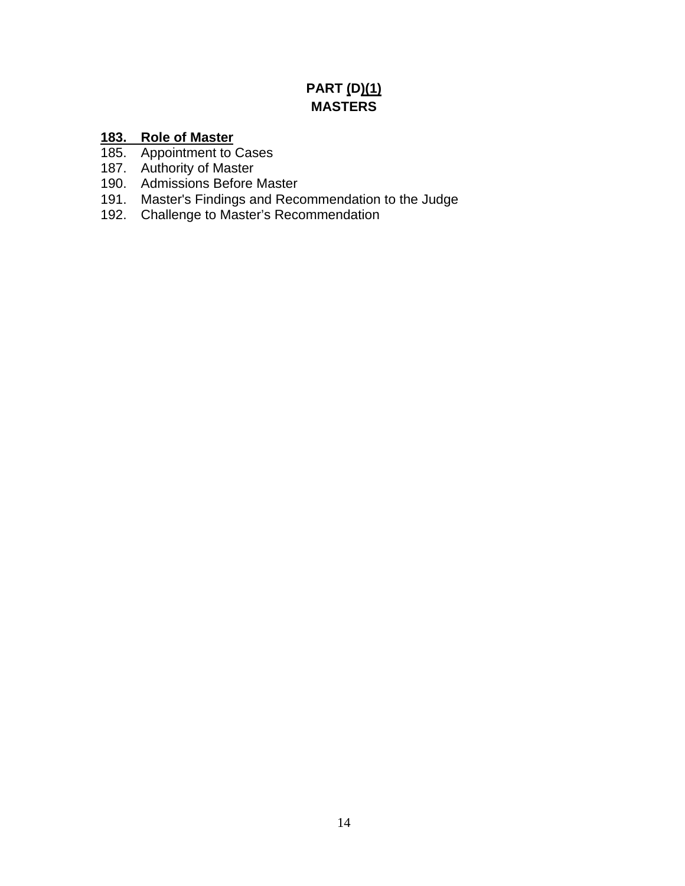# **PART (D)(1) MASTERS**

# **183. Role of Master**

- 185. Appointment to Cases
- 187. Authority of Master
- 190. Admissions Before Master
- 191. Master's Findings and Recommendation to the Judge
- 192. Challenge to Master's Recommendation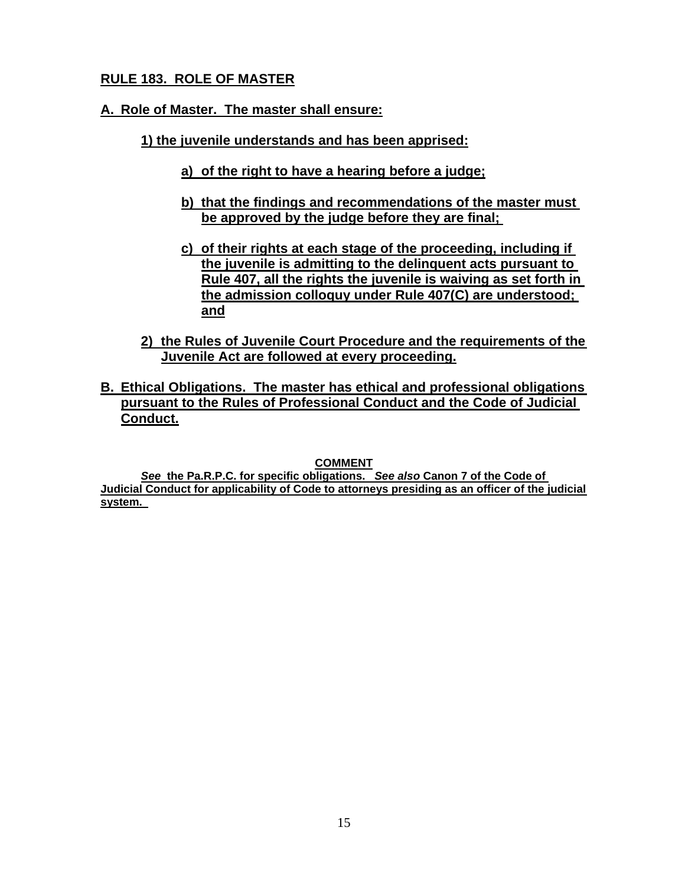# **RULE 183. ROLE OF MASTER**

## **A. Role of Master. The master shall ensure:**

- **1) the juvenile understands and has been apprised:** 
	- **a) of the right to have a hearing before a judge;**
	- **b) that the findings and recommendations of the master must be approved by the judge before they are final;**
	- **c) of their rights at each stage of the proceeding, including if the juvenile is admitting to the delinquent acts pursuant to Rule 407, all the rights the juvenile is waiving as set forth in the admission colloquy under Rule 407(C) are understood; and**
- **2) the Rules of Juvenile Court Procedure and the requirements of the Juvenile Act are followed at every proceeding.**
- **B. Ethical Obligations. The master has ethical and professional obligations pursuant to the Rules of Professional Conduct and the Code of Judicial Conduct.**

**COMMENT** 

*See* **the Pa.R.P.C. for specific obligations.** *See also* **Canon 7 of the Code of Judicial Conduct for applicability of Code to attorneys presiding as an officer of the judicial system.**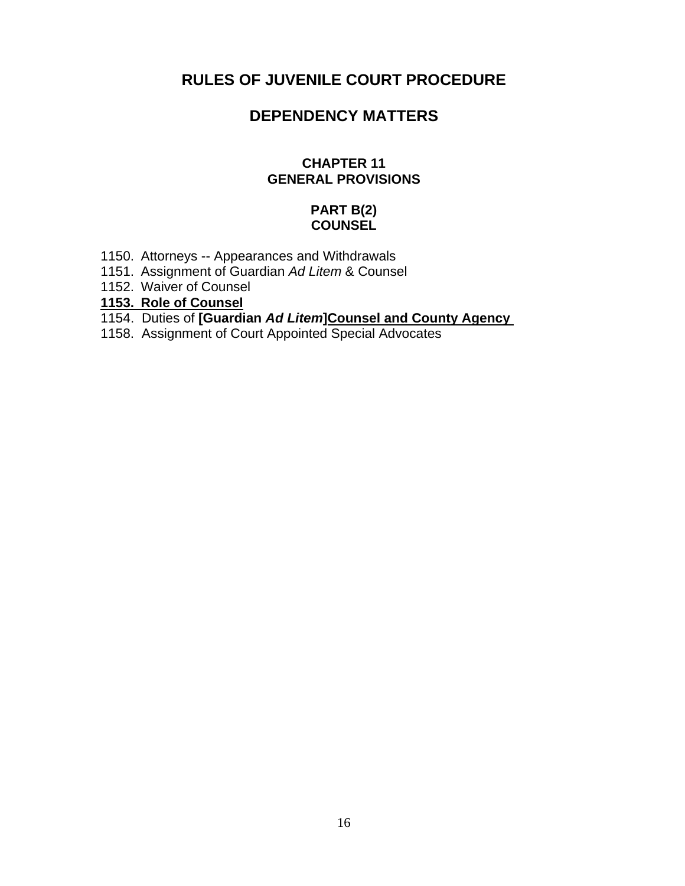# **RULES OF JUVENILE COURT PROCEDURE**

# **DEPENDENCY MATTERS**

### **CHAPTER 11 GENERAL PROVISIONS**

## **PART B(2) COUNSEL**

- 1150. Attorneys -- Appearances and Withdrawals
- 1151. Assignment of Guardian *Ad Litem* & Counsel
- 1152. Waiver of Counsel
- **1153. Role of Counsel**
- 1154. Duties of **[Guardian** *Ad Litem***]Counsel and County Agency**
- 1158. Assignment of Court Appointed Special Advocates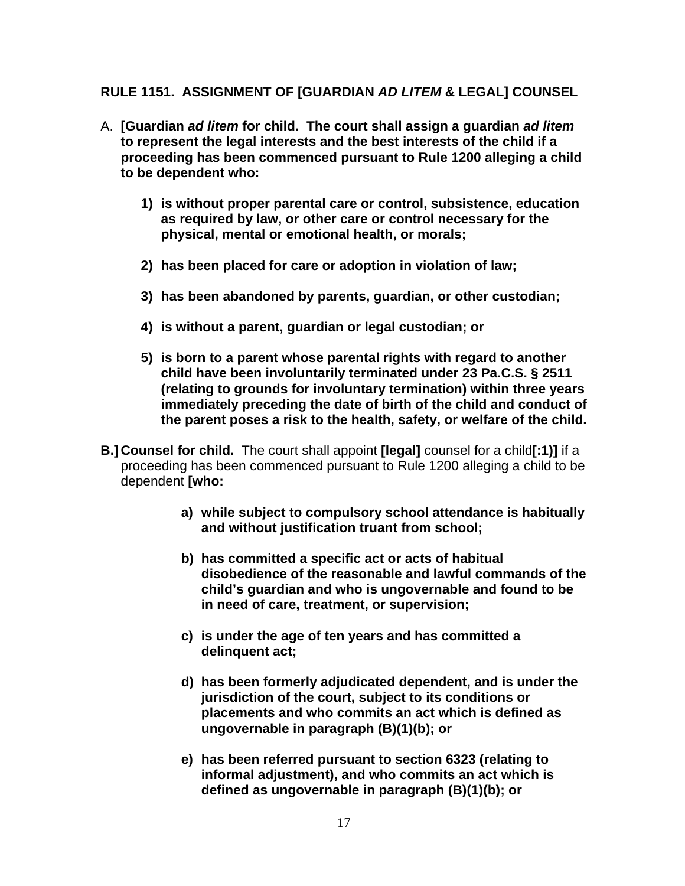## **RULE 1151. ASSIGNMENT OF [GUARDIAN** *AD LITEM* **& LEGAL] COUNSEL**

- A. **[Guardian** *ad litem* **for child. The court shall assign a guardian** *ad litem*  **to represent the legal interests and the best interests of the child if a proceeding has been commenced pursuant to Rule 1200 alleging a child to be dependent who:** 
	- **1) is without proper parental care or control, subsistence, education as required by law, or other care or control necessary for the physical, mental or emotional health, or morals;**
	- **2) has been placed for care or adoption in violation of law;**
	- **3) has been abandoned by parents, guardian, or other custodian;**
	- **4) is without a parent, guardian or legal custodian; or**
	- **5) is born to a parent whose parental rights with regard to another child have been involuntarily terminated under 23 Pa.C.S. § 2511 (relating to grounds for involuntary termination) within three years immediately preceding the date of birth of the child and conduct of the parent poses a risk to the health, safety, or welfare of the child.**
- **B.] Counsel for child.** The court shall appoint **[legal]** counsel for a child**[:1)]** if a proceeding has been commenced pursuant to Rule 1200 alleging a child to be dependent **[who:** 
	- **a) while subject to compulsory school attendance is habitually and without justification truant from school;**
	- **b) has committed a specific act or acts of habitual disobedience of the reasonable and lawful commands of the child's guardian and who is ungovernable and found to be in need of care, treatment, or supervision;**
	- **c) is under the age of ten years and has committed a delinquent act;**
	- **d) has been formerly adjudicated dependent, and is under the jurisdiction of the court, subject to its conditions or placements and who commits an act which is defined as ungovernable in paragraph (B)(1)(b); or**
	- **e) has been referred pursuant to section 6323 (relating to informal adjustment), and who commits an act which is defined as ungovernable in paragraph (B)(1)(b); or**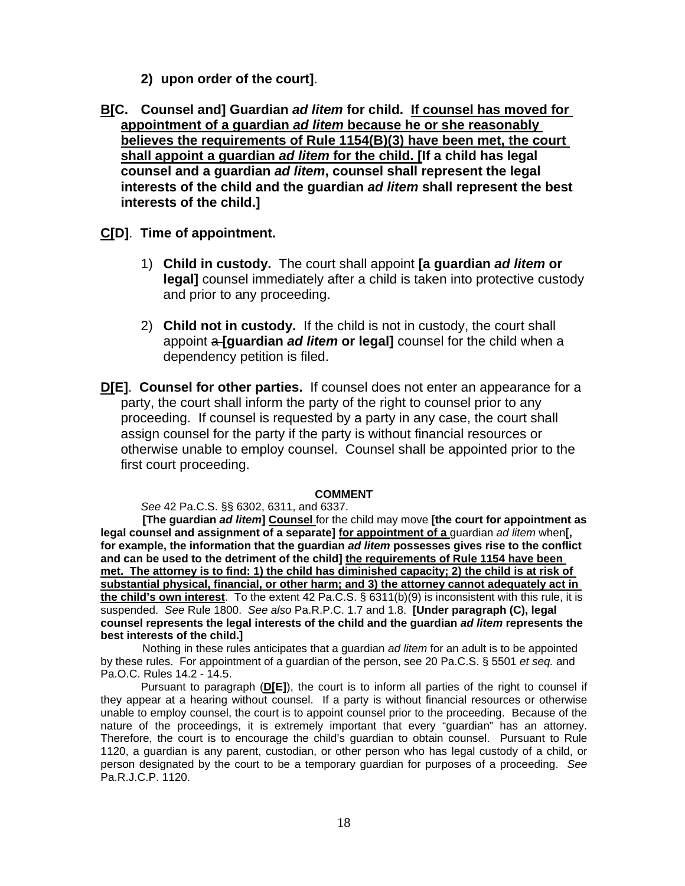- **2) upon order of the court]**.
- **B[C. Counsel and] Guardian** *ad litem* **for child. If counsel has moved for appointment of a guardian** *ad litem* **because he or she reasonably believes the requirements of Rule 1154(B)(3) have been met, the court shall appoint a guardian** *ad litem* **for the child. [If a child has legal counsel and a guardian** *ad litem***, counsel shall represent the legal interests of the child and the guardian** *ad litem* **shall represent the best interests of the child.]**

### **C[D]**. **Time of appointment.**

- 1) **Child in custody.** The court shall appoint **[a guardian** *ad litem* **or legal]** counsel immediately after a child is taken into protective custody and prior to any proceeding.
- 2) **Child not in custody.** If the child is not in custody, the court shall appoint a **[guardian** *ad litem* **or legal]** counsel for the child when a dependency petition is filed.
- **D[E]**. **Counsel for other parties.** If counsel does not enter an appearance for a party, the court shall inform the party of the right to counsel prior to any proceeding. If counsel is requested by a party in any case, the court shall assign counsel for the party if the party is without financial resources or otherwise unable to employ counsel. Counsel shall be appointed prior to the first court proceeding.

#### **COMMENT**

*See* 42 Pa.C.S. §§ 6302, 6311, and 6337.

**[The guardian** *ad litem***] Counsel** for the child may move **[the court for appointment as legal counsel and assignment of a separate] for appointment of a** guardian *ad litem* when**[, for example, the information that the guardian** *ad litem* **possesses gives rise to the conflict and can be used to the detriment of the child] the requirements of Rule 1154 have been met. The attorney is to find: 1) the child has diminished capacity; 2) the child is at risk of substantial physical, financial, or other harm; and 3) the attorney cannot adequately act in the child's own interest**. To the extent 42 Pa.C.S. § 6311(b)(9) is inconsistent with this rule, it is suspended. *See* Rule 1800. *See also* Pa.R.P.C. 1.7 and 1.8. **[Under paragraph (C), legal counsel represents the legal interests of the child and the guardian** *ad litem* **represents the best interests of the child.]** 

Nothing in these rules anticipates that a guardian *ad litem* for an adult is to be appointed by these rules. For appointment of a guardian of the person, see 20 Pa.C.S. § 5501 *et seq.* and Pa.O.C. Rules 14.2 - 14.5.

Pursuant to paragraph (**D[E]**), the court is to inform all parties of the right to counsel if they appear at a hearing without counsel. If a party is without financial resources or otherwise unable to employ counsel, the court is to appoint counsel prior to the proceeding. Because of the nature of the proceedings, it is extremely important that every "guardian" has an attorney. Therefore, the court is to encourage the child's guardian to obtain counsel. Pursuant to Rule 1120, a guardian is any parent, custodian, or other person who has legal custody of a child, or person designated by the court to be a temporary guardian for purposes of a proceeding. *See*  Pa.R.J.C.P. 1120.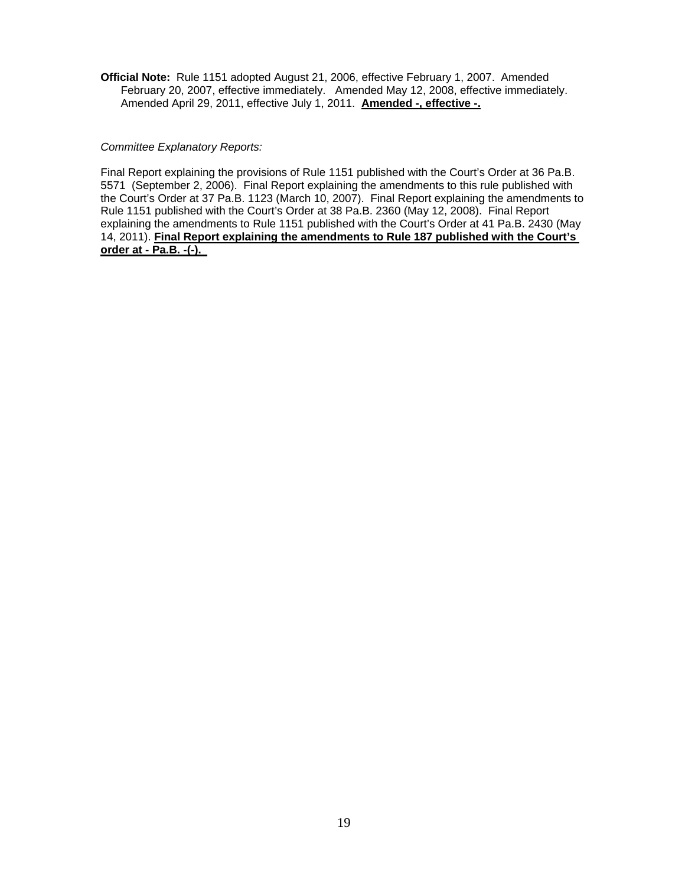**Official Note:** Rule 1151 adopted August 21, 2006, effective February 1, 2007. Amended February 20, 2007, effective immediately. Amended May 12, 2008, effective immediately. Amended April 29, 2011, effective July 1, 2011. **Amended -, effective -.** 

*Committee Explanatory Reports:* 

Final Report explaining the provisions of Rule 1151 published with the Court's Order at 36 Pa.B. 5571 (September 2, 2006). Final Report explaining the amendments to this rule published with the Court's Order at 37 Pa.B. 1123 (March 10, 2007). Final Report explaining the amendments to Rule 1151 published with the Court's Order at 38 Pa.B. 2360 (May 12, 2008). Final Report explaining the amendments to Rule 1151 published with the Court's Order at 41 Pa.B. 2430 (May 14, 2011). **Final Report explaining the amendments to Rule 187 published with the Court's order at - Pa.B. -(-).**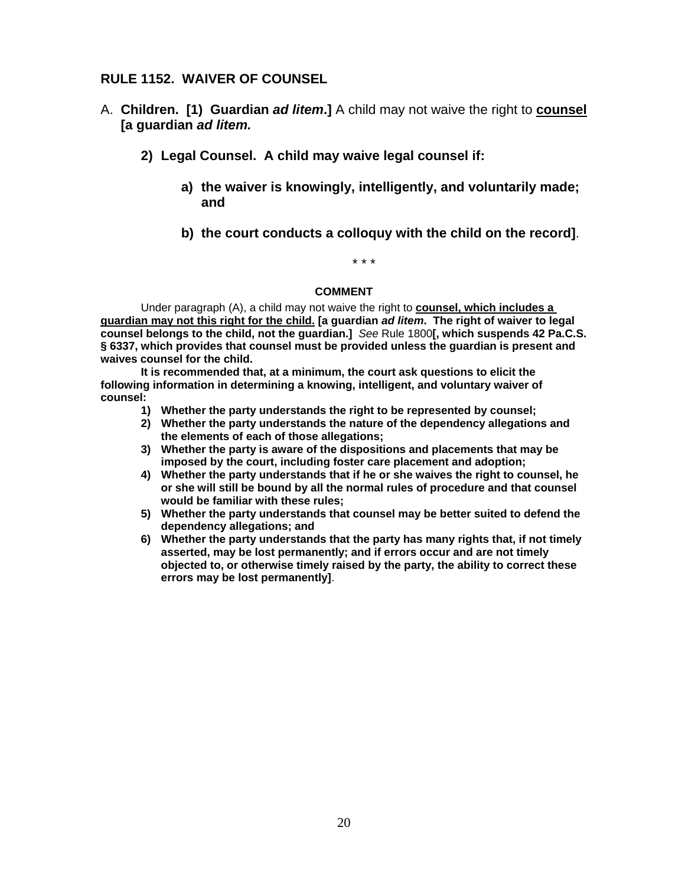## **RULE 1152. WAIVER OF COUNSEL**

- A. **Children. [1) Guardian** *ad litem***.]** A child may not waive the right to **counsel [a guardian** *ad litem.* 
	- **2) Legal Counsel. A child may waive legal counsel if:** 
		- **a) the waiver is knowingly, intelligently, and voluntarily made; and**
		- **b) the court conducts a colloquy with the child on the record]**.

# \* \* \*

### **COMMENT**

Under paragraph (A), a child may not waive the right to **counsel, which includes a guardian may not this right for the child. [a guardian** *ad litem***. The right of waiver to legal counsel belongs to the child, not the guardian.]** *See* Rule 1800**[, which suspends 42 Pa.C.S. § 6337, which provides that counsel must be provided unless the guardian is present and waives counsel for the child.**

**It is recommended that, at a minimum, the court ask questions to elicit the following information in determining a knowing, intelligent, and voluntary waiver of counsel:** 

- **1) Whether the party understands the right to be represented by counsel;**
- **2) Whether the party understands the nature of the dependency allegations and the elements of each of those allegations;**
- **3) Whether the party is aware of the dispositions and placements that may be imposed by the court, including foster care placement and adoption;**
- **4) Whether the party understands that if he or she waives the right to counsel, he or she will still be bound by all the normal rules of procedure and that counsel would be familiar with these rules;**
- **5) Whether the party understands that counsel may be better suited to defend the dependency allegations; and**
- **6) Whether the party understands that the party has many rights that, if not timely asserted, may be lost permanently; and if errors occur and are not timely objected to, or otherwise timely raised by the party, the ability to correct these errors may be lost permanently]**.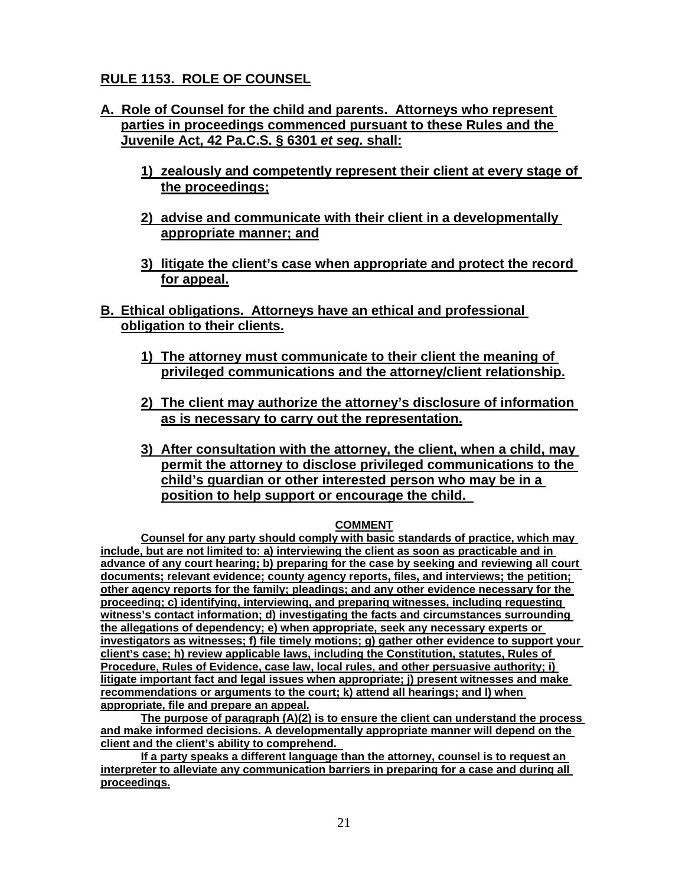# **RULE 1153. ROLE OF COUNSEL**

- **A. Role of Counsel for the child and parents. Attorneys who represent parties in proceedings commenced pursuant to these Rules and the Juvenile Act, 42 Pa.C.S. § 6301** *et seq.* **shall:** 
	- **1) zealously and competently represent their client at every stage of the proceedings;**
	- **2) advise and communicate with their client in a developmentally appropriate manner; and**
	- **3) litigate the client's case when appropriate and protect the record for appeal.**
- **B. Ethical obligations. Attorneys have an ethical and professional obligation to their clients.** 
	- **1) The attorney must communicate to their client the meaning of privileged communications and the attorney/client relationship.**
	- **2) The client may authorize the attorney's disclosure of information as is necessary to carry out the representation.**
	- **3) After consultation with the attorney, the client, when a child, may permit the attorney to disclose privileged communications to the child's guardian or other interested person who may be in a position to help support or encourage the child.**

#### **COMMENT**

**Counsel for any party should comply with basic standards of practice, which may include, but are not limited to: a) interviewing the client as soon as practicable and in advance of any court hearing; b) preparing for the case by seeking and reviewing all court documents; relevant evidence; county agency reports, files, and interviews; the petition; other agency reports for the family; pleadings; and any other evidence necessary for the proceeding; c) identifying, interviewing, and preparing witnesses, including requesting witness's contact information; d) investigating the facts and circumstances surrounding the allegations of dependency; e) when appropriate, seek any necessary experts or investigators as witnesses; f) file timely motions; g) gather other evidence to support your client's case; h) review applicable laws, including the Constitution, statutes, Rules of Procedure, Rules of Evidence, case law, local rules, and other persuasive authority; i) litigate important fact and legal issues when appropriate; j) present witnesses and make recommendations or arguments to the court; k) attend all hearings; and l) when appropriate, file and prepare an appeal.** 

**The purpose of paragraph (A)(2) is to ensure the client can understand the process and make informed decisions. A developmentally appropriate manner will depend on the client and the client's ability to comprehend.** 

**If a party speaks a different language than the attorney, counsel is to request an interpreter to alleviate any communication barriers in preparing for a case and during all proceedings.**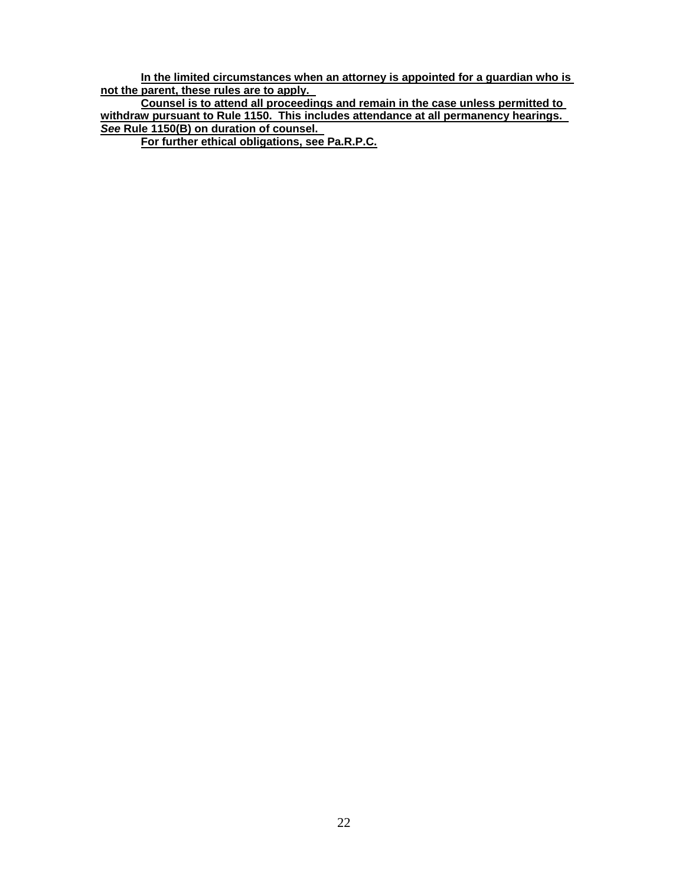**In the limited circumstances when an attorney is appointed for a guardian who is not the parent, these rules are to apply.** 

**Counsel is to attend all proceedings and remain in the case unless permitted to withdraw pursuant to Rule 1150. This includes attendance at all permanency hearings.**  *See* **Rule 1150(B) on duration of counsel.** 

**For further ethical obligations, see Pa.R.P.C.**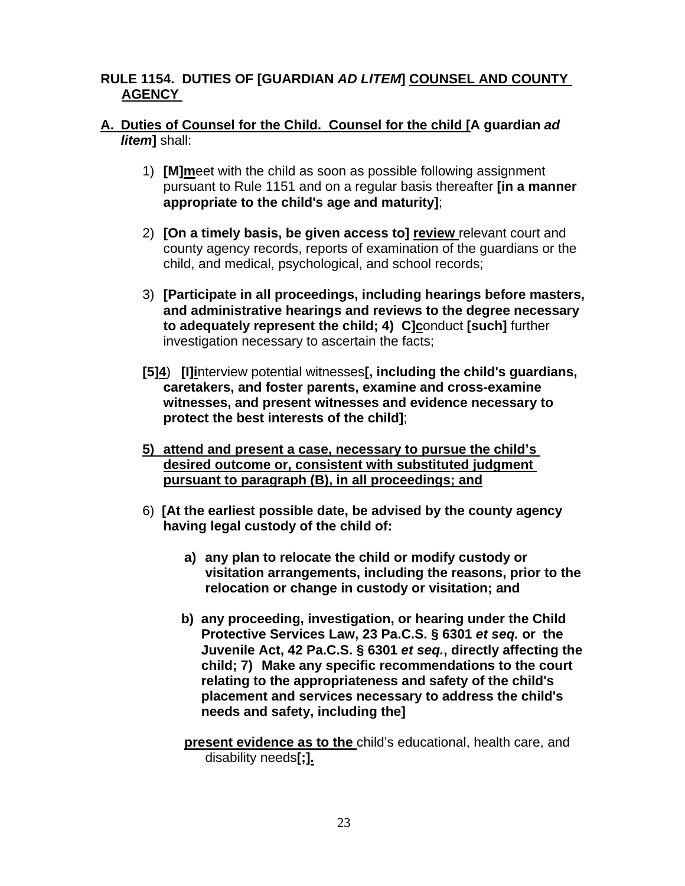## **RULE 1154. DUTIES OF [GUARDIAN** *AD LITEM***] COUNSEL AND COUNTY AGENCY**

## **A. Duties of Counsel for the Child. Counsel for the child [A guardian** *ad litem***]** shall:

- 1) **[M]m**eet with the child as soon as possible following assignment pursuant to Rule 1151 and on a regular basis thereafter **[in a manner appropriate to the child's age and maturity]**;
- 2) **[On a timely basis, be given access to] review** relevant court and county agency records, reports of examination of the guardians or the child, and medical, psychological, and school records;
- 3) **[Participate in all proceedings, including hearings before masters, and administrative hearings and reviews to the degree necessary to adequately represent the child; 4) C]conduct [such] further** investigation necessary to ascertain the facts;
- **[5]4**) **[I]i**nterview potential witnesses**[, including the child's guardians, caretakers, and foster parents, examine and cross-examine witnesses, and present witnesses and evidence necessary to protect the best interests of the child]**;
- **5) attend and present a case, necessary to pursue the child's desired outcome or, consistent with substituted judgment pursuant to paragraph (B), in all proceedings; and**
- 6) **[At the earliest possible date, be advised by the county agency having legal custody of the child of:** 
	- **a) any plan to relocate the child or modify custody or visitation arrangements, including the reasons, prior to the relocation or change in custody or visitation; and**
	- **b) any proceeding, investigation, or hearing under the Child Protective Services Law, 23 Pa.C.S. § 6301** *et seq.* **or the Juvenile Act, 42 Pa.C.S. § 6301** *et seq.***, directly affecting the child; 7) Make any specific recommendations to the court relating to the appropriateness and safety of the child's placement and services necessary to address the child's needs and safety, including the]**
	- **present evidence as to the** child's educational, health care, and disability needs**[;].**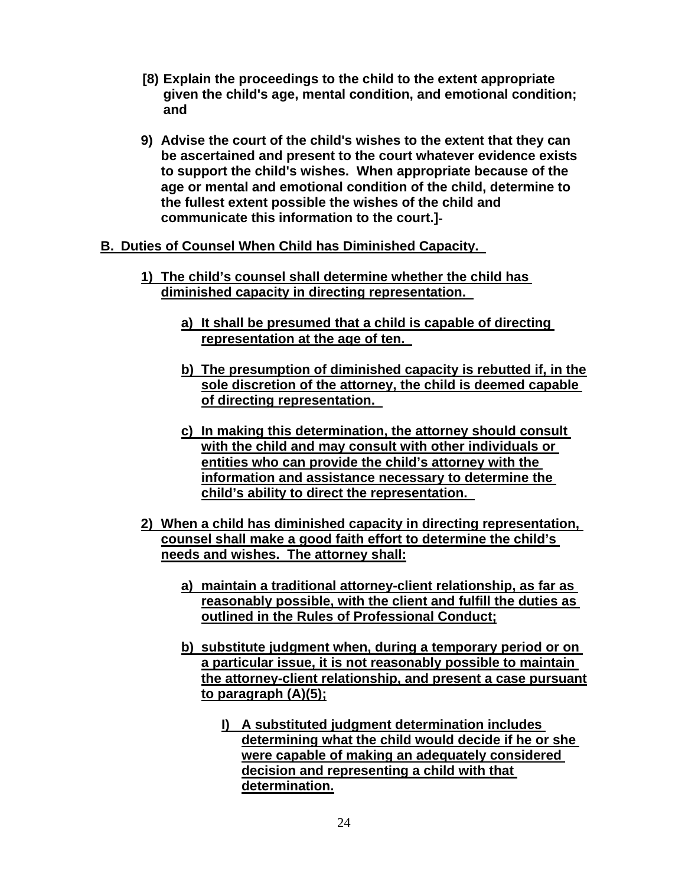- **[8) Explain the proceedings to the child to the extent appropriate given the child's age, mental condition, and emotional condition; and**
- **9) Advise the court of the child's wishes to the extent that they can be ascertained and present to the court whatever evidence exists to support the child's wishes. When appropriate because of the age or mental and emotional condition of the child, determine to the fullest extent possible the wishes of the child and communicate this information to the court.]**

### **B. Duties of Counsel When Child has Diminished Capacity.**

- **1) The child's counsel shall determine whether the child has diminished capacity in directing representation.** 
	- **a) It shall be presumed that a child is capable of directing representation at the age of ten.**
	- **b) The presumption of diminished capacity is rebutted if, in the sole discretion of the attorney, the child is deemed capable of directing representation.**
	- **c) In making this determination, the attorney should consult with the child and may consult with other individuals or entities who can provide the child's attorney with the information and assistance necessary to determine the child's ability to direct the representation.**
- **2) When a child has diminished capacity in directing representation, counsel shall make a good faith effort to determine the child's needs and wishes. The attorney shall:** 
	- **a) maintain a traditional attorney-client relationship, as far as reasonably possible, with the client and fulfill the duties as outlined in the Rules of Professional Conduct;**
	- **b) substitute judgment when, during a temporary period or on a particular issue, it is not reasonably possible to maintain the attorney-client relationship, and present a case pursuant to paragraph (A)(5);** 
		- **I) A substituted judgment determination includes determining what the child would decide if he or she were capable of making an adequately considered decision and representing a child with that determination.**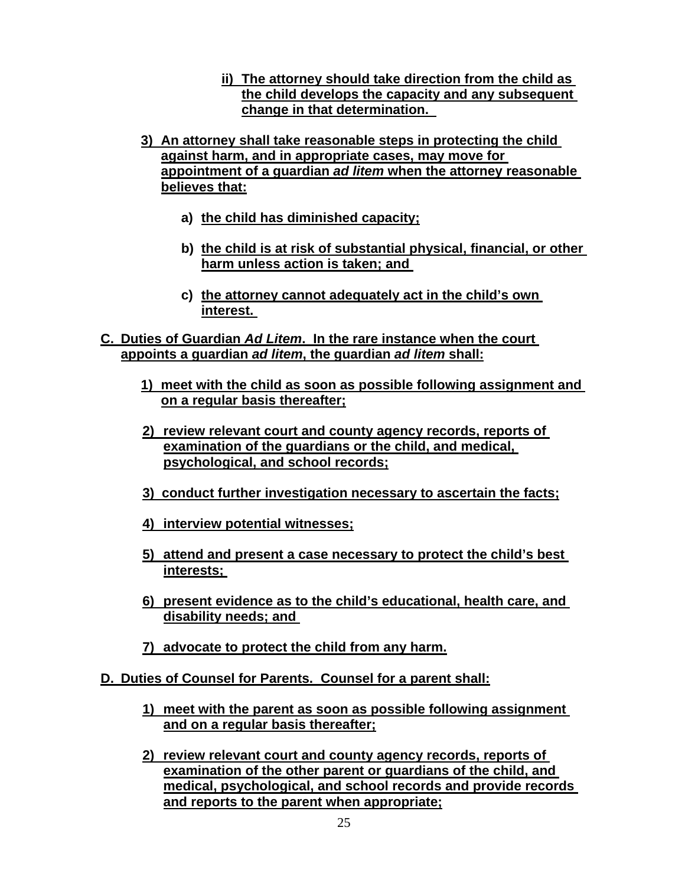- **ii) The attorney should take direction from the child as the child develops the capacity and any subsequent change in that determination.**
- **3) An attorney shall take reasonable steps in protecting the child against harm, and in appropriate cases, may move for appointment of a guardian** *ad litem* **when the attorney reasonable believes that:** 
	- **a) the child has diminished capacity;**
	- **b) the child is at risk of substantial physical, financial, or other harm unless action is taken; and**
	- **c) the attorney cannot adequately act in the child's own interest.**
- **C. Duties of Guardian** *Ad Litem***. In the rare instance when the court appoints a guardian** *ad litem***, the guardian** *ad litem* **shall:** 
	- **1) meet with the child as soon as possible following assignment and on a regular basis thereafter;**
	- **2) review relevant court and county agency records, reports of examination of the guardians or the child, and medical, psychological, and school records;**
	- **3) conduct further investigation necessary to ascertain the facts;**
	- **4) interview potential witnesses;**
	- **5) attend and present a case necessary to protect the child's best interests;**
	- **6) present evidence as to the child's educational, health care, and disability needs; and**
	- **7) advocate to protect the child from any harm.**
- **D. Duties of Counsel for Parents. Counsel for a parent shall:** 
	- **1) meet with the parent as soon as possible following assignment and on a regular basis thereafter;**
	- **2) review relevant court and county agency records, reports of examination of the other parent or guardians of the child, and medical, psychological, and school records and provide records and reports to the parent when appropriate;**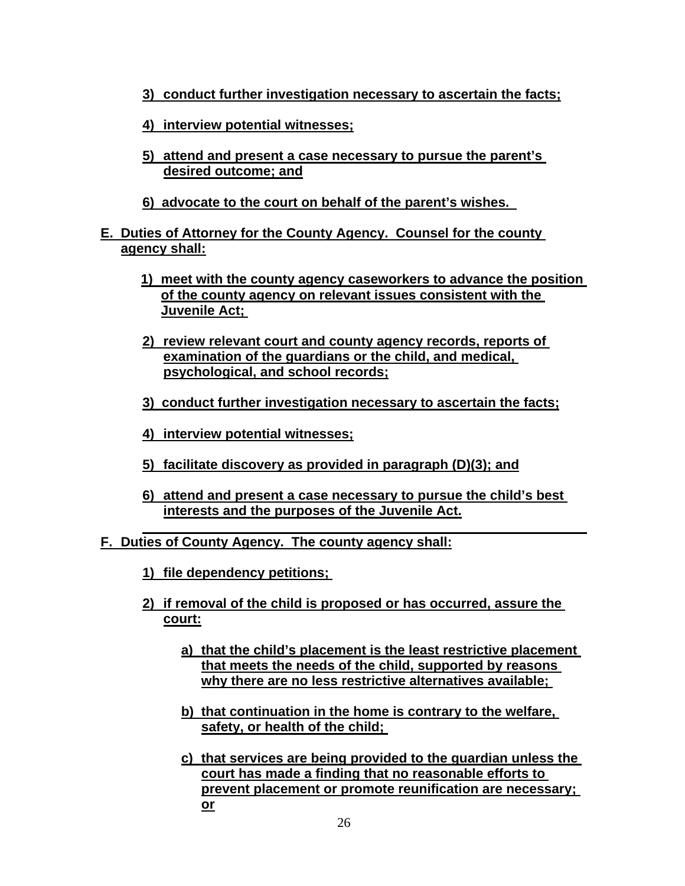- **3) conduct further investigation necessary to ascertain the facts;**
- **4) interview potential witnesses;**
- **5) attend and present a case necessary to pursue the parent's desired outcome; and**
- **6) advocate to the court on behalf of the parent's wishes.**
- **E. Duties of Attorney for the County Agency. Counsel for the county agency shall:** 
	- **1) meet with the county agency caseworkers to advance the position of the county agency on relevant issues consistent with the Juvenile Act;**
	- **2) review relevant court and county agency records, reports of examination of the guardians or the child, and medical, psychological, and school records;**
	- **3) conduct further investigation necessary to ascertain the facts;**
	- **4) interview potential witnesses;**
	- **5) facilitate discovery as provided in paragraph (D)(3); and**
	- **6) attend and present a case necessary to pursue the child's best interests and the purposes of the Juvenile Act.**
- **F. Duties of County Agency. The county agency shall:** 
	- **1) file dependency petitions;**
	- **2) if removal of the child is proposed or has occurred, assure the court:** 
		- **a) that the child's placement is the least restrictive placement that meets the needs of the child, supported by reasons why there are no less restrictive alternatives available;**
		- **b) that continuation in the home is contrary to the welfare, safety, or health of the child;**
		- **c) that services are being provided to the guardian unless the court has made a finding that no reasonable efforts to prevent placement or promote reunification are necessary; or**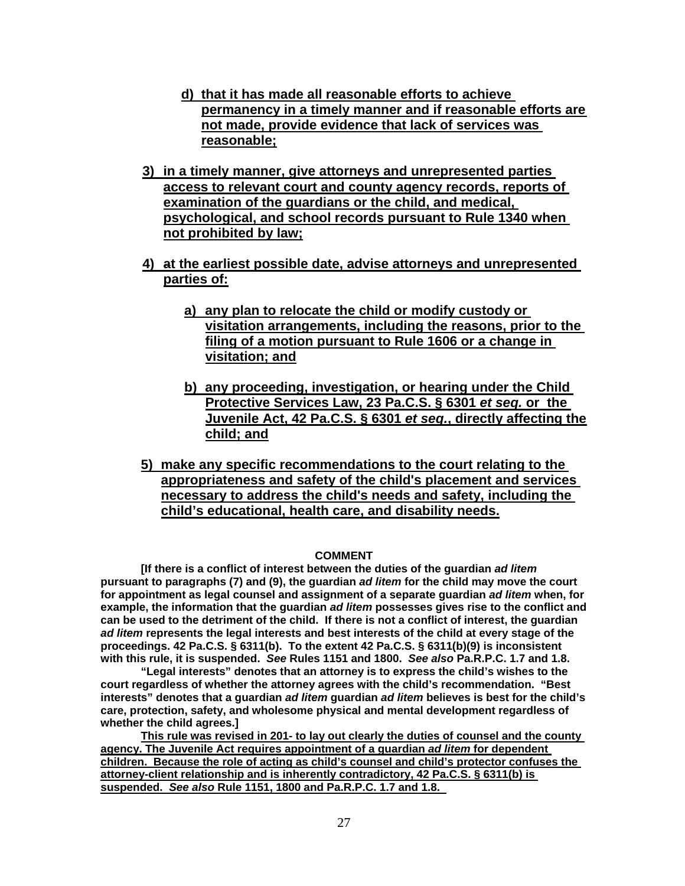- **d) that it has made all reasonable efforts to achieve permanency in a timely manner and if reasonable efforts are not made, provide evidence that lack of services was reasonable;**
- **3) in a timely manner, give attorneys and unrepresented parties access to relevant court and county agency records, reports of examination of the guardians or the child, and medical, psychological, and school records pursuant to Rule 1340 when not prohibited by law;**
- **4) at the earliest possible date, advise attorneys and unrepresented parties of:** 
	- **a) any plan to relocate the child or modify custody or visitation arrangements, including the reasons, prior to the filing of a motion pursuant to Rule 1606 or a change in visitation; and**
	- **b) any proceeding, investigation, or hearing under the Child Protective Services Law, 23 Pa.C.S. § 6301** *et seq.* **or the Juvenile Act, 42 Pa.C.S. § 6301** *et seq.***, directly affecting the child; and**
- **5) make any specific recommendations to the court relating to the appropriateness and safety of the child's placement and services necessary to address the child's needs and safety, including the child's educational, health care, and disability needs.**

#### **COMMENT**

**[If there is a conflict of interest between the duties of the guardian** *ad litem* **pursuant to paragraphs (7) and (9), the guardian** *ad litem* **for the child may move the court for appointment as legal counsel and assignment of a separate guardian** *ad litem* **when, for example, the information that the guardian** *ad litem* **possesses gives rise to the conflict and can be used to the detriment of the child. If there is not a conflict of interest, the guardian** *ad litem* **represents the legal interests and best interests of the child at every stage of the proceedings. 42 Pa.C.S. § 6311(b). To the extent 42 Pa.C.S. § 6311(b)(9) is inconsistent with this rule, it is suspended.** *See* **Rules 1151 and 1800.** *See also* **Pa.R.P.C. 1.7 and 1.8.** 

**"Legal interests" denotes that an attorney is to express the child's wishes to the court regardless of whether the attorney agrees with the child's recommendation. "Best interests" denotes that a guardian** *ad litem* **guardian** *ad litem* **believes is best for the child's care, protection, safety, and wholesome physical and mental development regardless of whether the child agrees.]** 

**This rule was revised in 201- to lay out clearly the duties of counsel and the county agency. The Juvenile Act requires appointment of a guardian** *ad litem* **for dependent children. Because the role of acting as child's counsel and child's protector confuses the attorney-client relationship and is inherently contradictory, 42 Pa.C.S. § 6311(b) is suspended.** *See also* **Rule 1151, 1800 and Pa.R.P.C. 1.7 and 1.8.**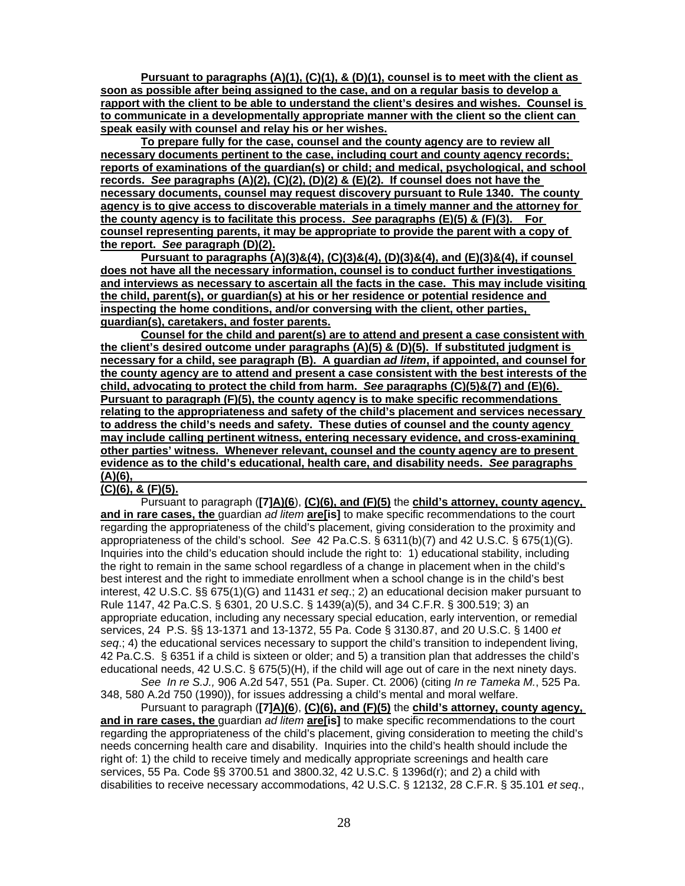**Pursuant to paragraphs (A)(1), (C)(1), & (D)(1), counsel is to meet with the client as soon as possible after being assigned to the case, and on a regular basis to develop a rapport with the client to be able to understand the client's desires and wishes. Counsel is to communicate in a developmentally appropriate manner with the client so the client can speak easily with counsel and relay his or her wishes.** 

**To prepare fully for the case, counsel and the county agency are to review all necessary documents pertinent to the case, including court and county agency records; reports of examinations of the guardian(s) or child; and medical, psychological, and school records.** *See* **paragraphs (A)(2), (C)(2), (D)(2) & (E)(2). If counsel does not have the necessary documents, counsel may request discovery pursuant to Rule 1340. The county agency is to give access to discoverable materials in a timely manner and the attorney for the county agency is to facilitate this process.** *See* **paragraphs (E)(5) & (F)(3). For counsel representing parents, it may be appropriate to provide the parent with a copy of the report.** *See* **paragraph (D)(2).** 

**Pursuant to paragraphs (A)(3)&(4), (C)(3)&(4), (D)(3)&(4), and (E)(3)&(4), if counsel does not have all the necessary information, counsel is to conduct further investigations and interviews as necessary to ascertain all the facts in the case. This may include visiting the child, parent(s), or guardian(s) at his or her residence or potential residence and inspecting the home conditions, and/or conversing with the client, other parties, guardian(s), caretakers, and foster parents.** 

**Counsel for the child and parent(s) are to attend and present a case consistent with the client's desired outcome under paragraphs (A)(5) & (D)(5). If substituted judgment is necessary for a child, see paragraph (B). A guardian** *ad litem***, if appointed, and counsel for the county agency are to attend and present a case consistent with the best interests of the child, advocating to protect the child from harm.** *See* **paragraphs (C)(5)&(7) and (E)(6). Pursuant to paragraph (F)(5), the county agency is to make specific recommendations relating to the appropriateness and safety of the child's placement and services necessary to address the child's needs and safety. These duties of counsel and the county agency may include calling pertinent witness, entering necessary evidence, and cross-examining other parties' witness. Whenever relevant, counsel and the county agency are to present evidence as to the child's educational, health care, and disability needs.** *See* **paragraphs (A)(6),** 

#### **(C)(6), & (F)(5).**

Pursuant to paragraph (**[7]A)(6**), **(C)(6), and (F)(5)** the **child's attorney, county agency, and in rare cases, the** guardian *ad litem* **are[is]** to make specific recommendations to the court regarding the appropriateness of the child's placement, giving consideration to the proximity and appropriateness of the child's school. *See* 42 Pa.C.S. § 6311(b)(7) and 42 U.S.C. § 675(1)(G). Inquiries into the child's education should include the right to: 1) educational stability, including the right to remain in the same school regardless of a change in placement when in the child's best interest and the right to immediate enrollment when a school change is in the child's best interest, 42 U.S.C. §§ 675(1)(G) and 11431 *et seq*.; 2) an educational decision maker pursuant to Rule 1147, 42 Pa.C.S. § 6301, 20 U.S.C. § 1439(a)(5), and 34 C.F.R. § 300.519; 3) an appropriate education, including any necessary special education, early intervention, or remedial services, 24 P.S. §§ 13-1371 and 13-1372, 55 Pa. Code § 3130.87, and 20 U.S.C. § 1400 *et seq*.; 4) the educational services necessary to support the child's transition to independent living, 42 Pa.C.S. § 6351 if a child is sixteen or older; and 5) a transition plan that addresses the child's educational needs, 42 U.S.C. § 675(5)(H), if the child will age out of care in the next ninety days.

*See In re S.J.,* 906 A.2d 547, 551 (Pa. Super. Ct. 2006) (citing *In re Tameka M.*, 525 Pa. 348, 580 A.2d 750 (1990)), for issues addressing a child's mental and moral welfare.

Pursuant to paragraph (**[7]A)(6**), **(C)(6), and (F)(5)** the **child's attorney, county agency, and in rare cases, the** guardian *ad litem* **are[is]** to make specific recommendations to the court regarding the appropriateness of the child's placement, giving consideration to meeting the child's needs concerning health care and disability. Inquiries into the child's health should include the right of: 1) the child to receive timely and medically appropriate screenings and health care services, 55 Pa. Code §§ 3700.51 and 3800.32, 42 U.S.C. § 1396d(r); and 2) a child with disabilities to receive necessary accommodations, 42 U.S.C. § 12132, 28 C.F.R. § 35.101 *et seq*.,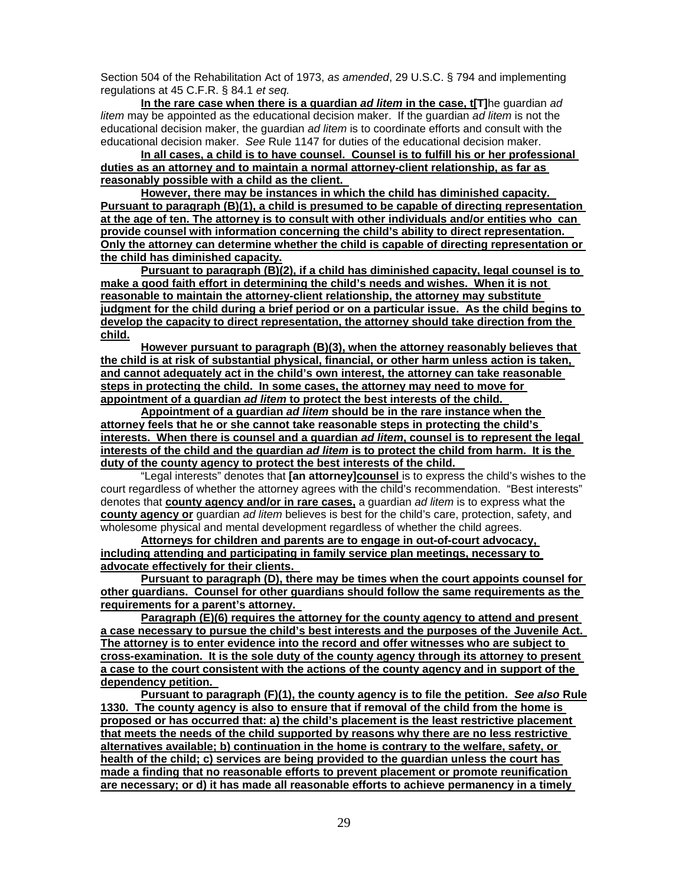Section 504 of the Rehabilitation Act of 1973, *as amended*, 29 U.S.C. § 794 and implementing regulations at 45 C.F.R. § 84.1 *et seq.* 

**In the rare case when there is a guardian** *ad litem* **in the case, t[T]**he guardian *ad litem* may be appointed as the educational decision maker. If the guardian *ad litem* is not the educational decision maker, the guardian *ad litem* is to coordinate efforts and consult with the educational decision maker. *See* Rule 1147 for duties of the educational decision maker.

**In all cases, a child is to have counsel. Counsel is to fulfill his or her professional duties as an attorney and to maintain a normal attorney-client relationship, as far as reasonably possible with a child as the client.** 

**However, there may be instances in which the child has diminished capacity. Pursuant to paragraph (B)(1), a child is presumed to be capable of directing representation at the age of ten. The attorney is to consult with other individuals and/or entities who can provide counsel with information concerning the child's ability to direct representation. Only the attorney can determine whether the child is capable of directing representation or the child has diminished capacity.** 

**Pursuant to paragraph (B)(2), if a child has diminished capacity, legal counsel is to make a good faith effort in determining the child's needs and wishes. When it is not reasonable to maintain the attorney-client relationship, the attorney may substitute judgment for the child during a brief period or on a particular issue. As the child begins to develop the capacity to direct representation, the attorney should take direction from the child.** 

**However pursuant to paragraph (B)(3), when the attorney reasonably believes that the child is at risk of substantial physical, financial, or other harm unless action is taken, and cannot adequately act in the child's own interest, the attorney can take reasonable steps in protecting the child. In some cases, the attorney may need to move for appointment of a guardian** *ad litem* **to protect the best interests of the child.** 

**Appointment of a guardian** *ad litem* **should be in the rare instance when the attorney feels that he or she cannot take reasonable steps in protecting the child's interests. When there is counsel and a guardian** *ad litem***, counsel is to represent the legal interests of the child and the guardian** *ad litem* **is to protect the child from harm. It is the duty of the county agency to protect the best interests of the child.** 

"Legal interests" denotes that **[an attorney]counsel** is to express the child's wishes to the court regardless of whether the attorney agrees with the child's recommendation. "Best interests" denotes that **county agency and/or in rare cases,** a guardian *ad litem* is to express what the **county agency or** guardian *ad litem* believes is best for the child's care, protection, safety, and wholesome physical and mental development regardless of whether the child agrees.

**Attorneys for children and parents are to engage in out-of-court advocacy, including attending and participating in family service plan meetings, necessary to advocate effectively for their clients.** 

**Pursuant to paragraph (D), there may be times when the court appoints counsel for other guardians. Counsel for other guardians should follow the same requirements as the requirements for a parent's attorney.** 

**Paragraph (E)(6) requires the attorney for the county agency to attend and present a case necessary to pursue the child's best interests and the purposes of the Juvenile Act. The attorney is to enter evidence into the record and offer witnesses who are subject to cross-examination. It is the sole duty of the county agency through its attorney to present a case to the court consistent with the actions of the county agency and in support of the dependency petition.** 

**Pursuant to paragraph (F)(1), the county agency is to file the petition.** *See also* **Rule 1330. The county agency is also to ensure that if removal of the child from the home is proposed or has occurred that: a) the child's placement is the least restrictive placement that meets the needs of the child supported by reasons why there are no less restrictive alternatives available; b) continuation in the home is contrary to the welfare, safety, or health of the child; c) services are being provided to the guardian unless the court has made a finding that no reasonable efforts to prevent placement or promote reunification are necessary; or d) it has made all reasonable efforts to achieve permanency in a timely**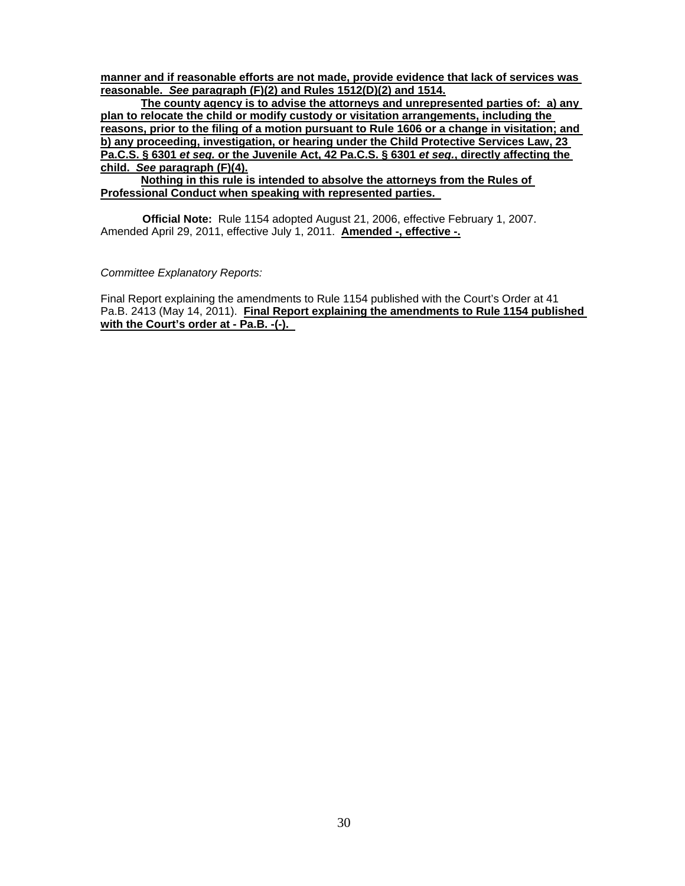**manner and if reasonable efforts are not made, provide evidence that lack of services was reasonable.** *See* **paragraph (F)(2) and Rules 1512(D)(2) and 1514.** 

**The county agency is to advise the attorneys and unrepresented parties of: a) any plan to relocate the child or modify custody or visitation arrangements, including the reasons, prior to the filing of a motion pursuant to Rule 1606 or a change in visitation; and b) any proceeding, investigation, or hearing under the Child Protective Services Law, 23 Pa.C.S. § 6301** *et seq.* **or the Juvenile Act, 42 Pa.C.S. § 6301** *et seq.***, directly affecting the child.** *See* **paragraph (F)(4).** 

**Nothing in this rule is intended to absolve the attorneys from the Rules of Professional Conduct when speaking with represented parties.** 

**Official Note:** Rule 1154 adopted August 21, 2006, effective February 1, 2007. Amended April 29, 2011, effective July 1, 2011. **Amended -, effective -.** 

*Committee Explanatory Reports:* 

Final Report explaining the amendments to Rule 1154 published with the Court's Order at 41 Pa.B. 2413 (May 14, 2011). **Final Report explaining the amendments to Rule 1154 published with the Court's order at - Pa.B. -(-).**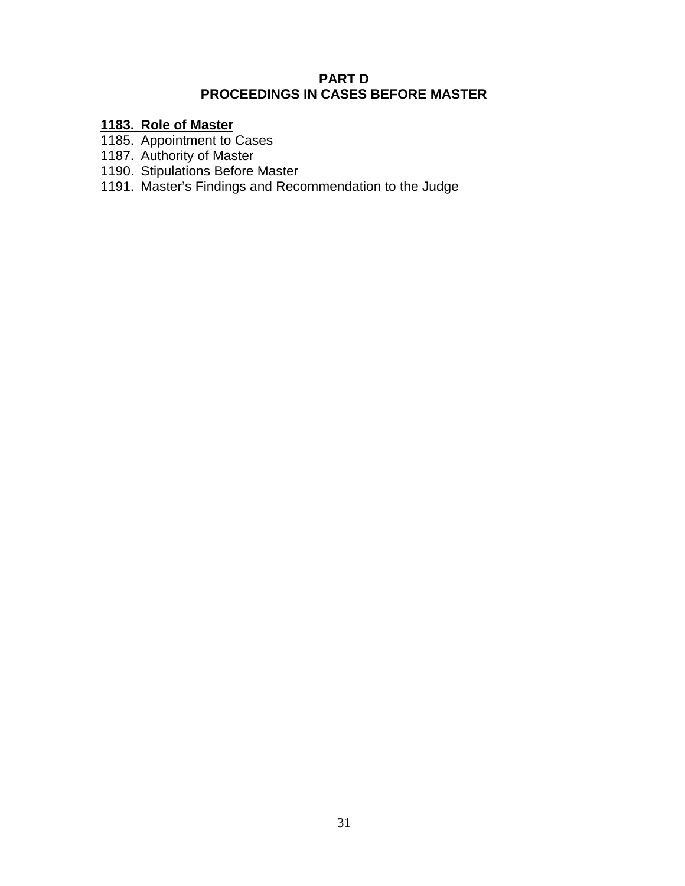## **PART D PROCEEDINGS IN CASES BEFORE MASTER**

# **1183. Role of Master**

- 1185. Appointment to Cases
- 1187. Authority of Master
- 1190. Stipulations Before Master
- 1191. Master's Findings and Recommendation to the Judge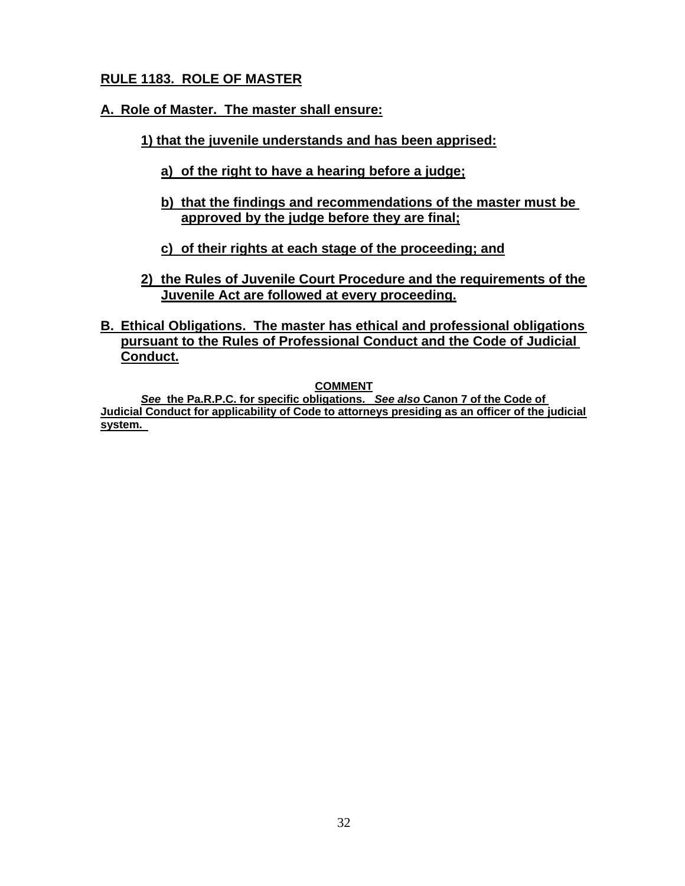# **RULE 1183. ROLE OF MASTER**

## **A. Role of Master. The master shall ensure:**

- **1) that the juvenile understands and has been apprised:** 
	- **a) of the right to have a hearing before a judge;**
	- **b) that the findings and recommendations of the master must be approved by the judge before they are final;**
	- **c) of their rights at each stage of the proceeding; and**
- **2) the Rules of Juvenile Court Procedure and the requirements of the Juvenile Act are followed at every proceeding.**
- **B. Ethical Obligations. The master has ethical and professional obligations pursuant to the Rules of Professional Conduct and the Code of Judicial Conduct.**

**COMMENT** 

*See* **the Pa.R.P.C. for specific obligations.** *See also* **Canon 7 of the Code of Judicial Conduct for applicability of Code to attorneys presiding as an officer of the judicial system.**